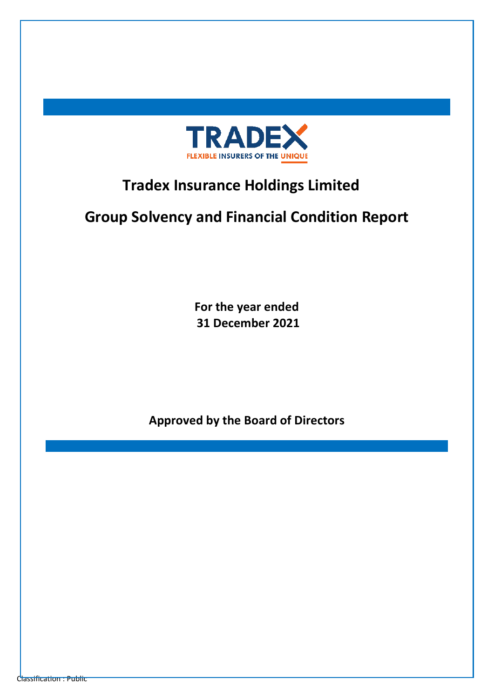

# **Tradex Insurance Holdings Limited**

# **Group Solvency and Financial Condition Report**

**For the year ended 31 December 2021** 

**Approved by the Board of Directors**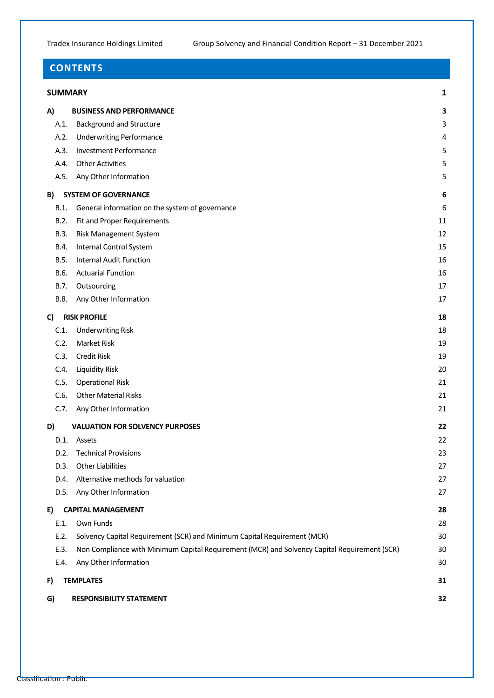## **CONTENTS**

#### **[SUMMARY](#page-2-0) 1**

| A)   | <b>BUSINESS AND PERFORMANCE</b>                                                              | 3  |
|------|----------------------------------------------------------------------------------------------|----|
| A.1. | <b>Background and Structure</b>                                                              | 3  |
| A.2. | <b>Underwriting Performance</b>                                                              | 4  |
| A.3. | <b>Investment Performance</b>                                                                | 5  |
| A.4. | <b>Other Activities</b>                                                                      | 5  |
| A.5. | Any Other Information                                                                        | 5  |
| B)   | <b>SYSTEM OF GOVERNANCE</b>                                                                  | 6  |
| B.1. | General information on the system of governance                                              | 6  |
| B.2. | Fit and Proper Requirements                                                                  | 11 |
| B.3. | Risk Management System                                                                       | 12 |
| B.4. | Internal Control System                                                                      | 15 |
| B.5. | <b>Internal Audit Function</b>                                                               | 16 |
| B.6. | <b>Actuarial Function</b>                                                                    | 16 |
| B.7. | Outsourcing                                                                                  | 17 |
| B.8. | Any Other Information                                                                        | 17 |
| C)   | <b>RISK PROFILE</b>                                                                          | 18 |
| C.1. | <b>Underwriting Risk</b>                                                                     | 18 |
| C.2. | Market Risk                                                                                  | 19 |
| C.3. | Credit Risk                                                                                  | 19 |
| C.4. | <b>Liquidity Risk</b>                                                                        | 20 |
| C.5. | <b>Operational Risk</b>                                                                      | 21 |
| C.6. | <b>Other Material Risks</b>                                                                  | 21 |
| C.7. | Any Other Information                                                                        | 21 |
| D)   | <b>VALUATION FOR SOLVENCY PURPOSES</b>                                                       | 22 |
| D.1. | Assets                                                                                       | 22 |
| D.2. | <b>Technical Provisions</b>                                                                  | 23 |
| D.3. | <b>Other Liabilities</b>                                                                     | 27 |
| D.4. | Alternative methods for valuation                                                            | 27 |
| D.5. | Any Other Information                                                                        | 27 |
| E)   | <b>CAPITAL MANAGEMENT</b>                                                                    | 28 |
| E.1. | Own Funds                                                                                    | 28 |
| E.2. | Solvency Capital Requirement (SCR) and Minimum Capital Requirement (MCR)                     | 30 |
| E.3. | Non Compliance with Minimum Capital Requirement (MCR) and Solvency Capital Requirement (SCR) | 30 |
| E.4. | Any Other Information                                                                        | 30 |
| F)   | <b>TEMPLATES</b>                                                                             | 31 |
| G)   | <b>RESPONSIBILITY STATEMENT</b>                                                              | 32 |
|      |                                                                                              |    |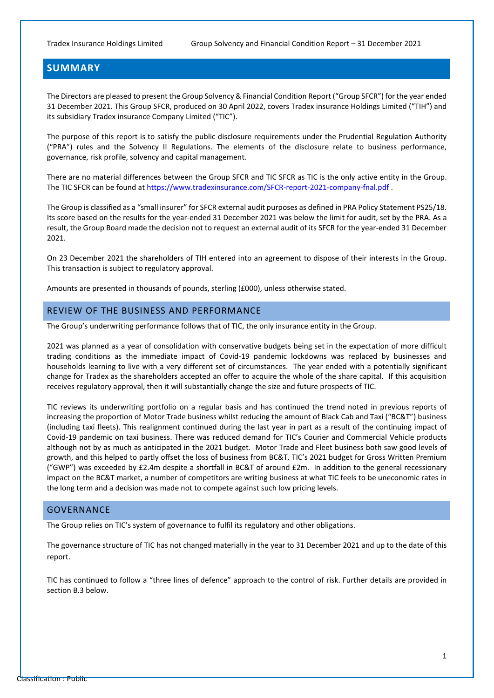### <span id="page-2-0"></span>**SUMMARY**

The Directors are pleased to present the Group Solvency & Financial Condition Report ("Group SFCR") for the year ended 31 December 2021. This Group SFCR, produced on 30 April 2022, covers Tradex insurance Holdings Limited ("TIH") and its subsidiary Tradex insurance Company Limited ("TIC").

The purpose of this report is to satisfy the public disclosure requirements under the Prudential Regulation Authority ("PRA") rules and the Solvency II Regulations. The elements of the disclosure relate to business performance, governance, risk profile, solvency and capital management.

There are no material differences between the Group SFCR and TIC SFCR as TIC is the only active entity in the Group. The TIC SFCR can be found at https://www.tradexinsurance.com/SFCR-report-2021-company-fnal.pdf.

The Group is classified as a "small insurer" for SFCR external audit purposes as defined in PRA Policy Statement PS25/18. Its score based on the results for the year-ended 31 December 2021 was below the limit for audit, set by the PRA. As a result, the Group Board made the decision not to request an external audit of its SFCR for the year-ended 31 December 2021.

On 23 December 2021 the shareholders of TIH entered into an agreement to dispose of their interests in the Group. This transaction is subject to regulatory approval.

Amounts are presented in thousands of pounds, sterling (£000), unless otherwise stated.

#### REVIEW OF THE BUSINESS AND PERFORMANCE

The Group's underwriting performance follows that of TIC, the only insurance entity in the Group.

2021 was planned as a year of consolidation with conservative budgets being set in the expectation of more difficult trading conditions as the immediate impact of Covid-19 pandemic lockdowns was replaced by businesses and households learning to live with a very different set of circumstances. The year ended with a potentially significant change for Tradex as the shareholders accepted an offer to acquire the whole of the share capital. If this acquisition receives regulatory approval, then it will substantially change the size and future prospects of TIC.

TIC reviews its underwriting portfolio on a regular basis and has continued the trend noted in previous reports of increasing the proportion of Motor Trade business whilst reducing the amount of Black Cab and Taxi ("BC&T") business (including taxi fleets). This realignment continued during the last year in part as a result of the continuing impact of Covid-19 pandemic on taxi business. There was reduced demand for TIC's Courier and Commercial Vehicle products although not by as much as anticipated in the 2021 budget. Motor Trade and Fleet business both saw good levels of growth, and this helped to partly offset the loss of business from BC&T. TIC's 2021 budget for Gross Written Premium ("GWP") was exceeded by £2.4m despite a shortfall in BC&T of around £2m. In addition to the general recessionary impact on the BC&T market, a number of competitors are writing business at what TIC feels to be uneconomic rates in the long term and a decision was made not to compete against such low pricing levels.

#### GOVERNANCE

The Group relies on TIC's system of governance to fulfil its regulatory and other obligations.

The governance structure of TIC has not changed materially in the year to 31 December 2021 and up to the date of this report.

TIC has continued to follow a "three lines of defence" approach to the control of risk. Further details are provided in section B.3 below.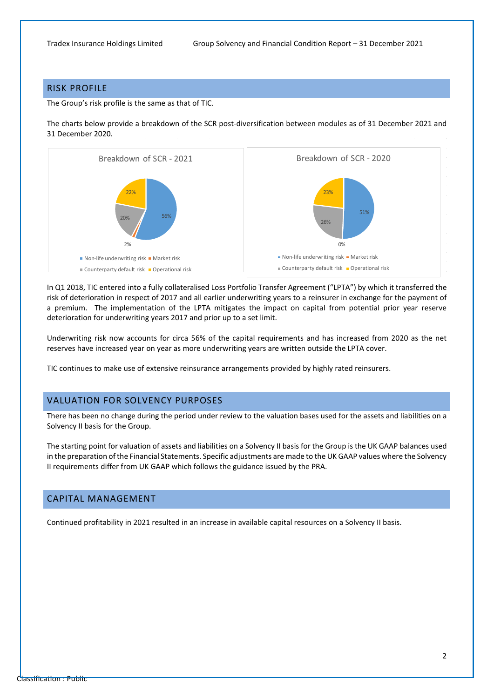#### RISK PROFILE

The Group's risk profile is the same as that of TIC.

The charts below provide a breakdown of the SCR post-diversification between modules as of 31 December 2021 and 31 December 2020.



In Q1 2018, TIC entered into a fully collateralised Loss Portfolio Transfer Agreement ("LPTA") by which it transferred the risk of deterioration in respect of 2017 and all earlier underwriting years to a reinsurer in exchange for the payment of a premium. The implementation of the LPTA mitigates the impact on capital from potential prior year reserve deterioration for underwriting years 2017 and prior up to a set limit.

Underwriting risk now accounts for circa 56% of the capital requirements and has increased from 2020 as the net reserves have increased year on year as more underwriting years are written outside the LPTA cover.

TIC continues to make use of extensive reinsurance arrangements provided by highly rated reinsurers.

#### VALUATION FOR SOLVENCY PURPOSES

There has been no change during the period under review to the valuation bases used for the assets and liabilities on a Solvency II basis for the Group.

The starting point for valuation of assets and liabilities on a Solvency II basis for the Group is the UK GAAP balances used in the preparation of the Financial Statements. Specific adjustments are made to the UK GAAP values where the Solvency II requirements differ from UK GAAP which follows the guidance issued by the PRA.

#### CAPITAL MANAGEMENT

Continued profitability in 2021 resulted in an increase in available capital resources on a Solvency II basis.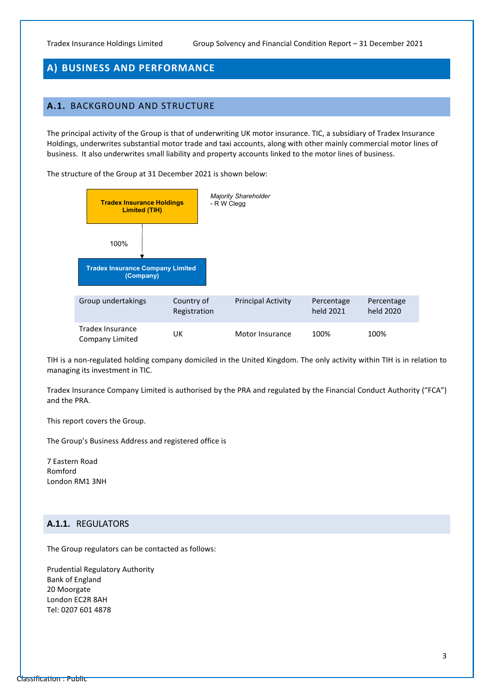### <span id="page-4-0"></span>**A) BUSINESS AND PERFORMANCE**

### <span id="page-4-1"></span>**A.1.** BACKGROUND AND STRUCTURE

The principal activity of the Group is that of underwriting UK motor insurance. TIC, a subsidiary of Tradex Insurance Holdings, underwrites substantial motor trade and taxi accounts, along with other mainly commercial motor lines of business. It also underwrites small liability and property accounts linked to the motor lines of business.

The structure of the Group at 31 December 2021 is shown below:



TIH is a non-regulated holding company domiciled in the United Kingdom. The only activity within TIH is in relation to managing its investment in TIC.

Tradex Insurance Company Limited is authorised by the PRA and regulated by the Financial Conduct Authority ("FCA") and the PRA.

This report covers the Group.

The Group's Business Address and registered office is

7 Eastern Road Romford London RM1 3NH

#### **A.1.1.** REGULATORS

The Group regulators can be contacted as follows:

Prudential Regulatory Authority Bank of England 20 Moorgate London EC2R 8AH Tel: 0207 601 4878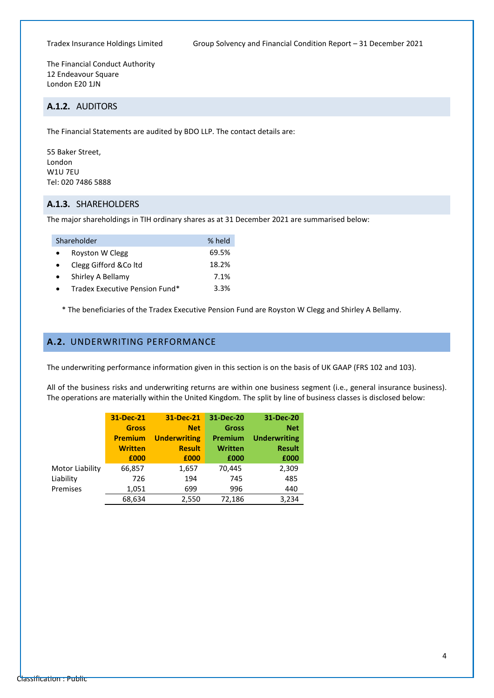The Financial Conduct Authority 12 Endeavour Square London E20 1JN

### **A.1.2.** AUDITORS

The Financial Statements are audited by BDO LLP. The contact details are:

55 Baker Street, London W1U 7EU Tel: 020 7486 5888

#### **A.1.3.** SHAREHOLDERS

The major shareholdings in TIH ordinary shares as at 31 December 2021 are summarised below:

| Shareholder                    | % held |
|--------------------------------|--------|
| Royston W Clegg                | 69.5%  |
| Clegg Gifford & Coltd          | 18.2%  |
| Shirley A Bellamy              | 7.1%   |
| Tradex Executive Pension Fund* | 3.3%   |
|                                |        |

\* The beneficiaries of the Tradex Executive Pension Fund are Royston W Clegg and Shirley A Bellamy.

### <span id="page-5-0"></span>**A.2.** UNDERWRITING PERFORMANCE

The underwriting performance information given in this section is on the basis of UK GAAP (FRS 102 and 103).

All of the business risks and underwriting returns are within one business segment (i.e., general insurance business). The operations are materially within the United Kingdom. The split by line of business classes is disclosed below:

|                 | 31-Dec-21      | 31-Dec-21           | 31-Dec-20      | 31-Dec-20           |
|-----------------|----------------|---------------------|----------------|---------------------|
|                 | <b>Gross</b>   | <b>Net</b>          | <b>Gross</b>   | <b>Net</b>          |
|                 | <b>Premium</b> | <b>Underwriting</b> | Premium        | <b>Underwriting</b> |
|                 | <b>Written</b> | <b>Result</b>       | <b>Written</b> | <b>Result</b>       |
|                 | £000           | £000                | £000           | £000                |
| Motor Liability | 66,857         | 1,657               | 70,445         | 2,309               |
| Liability       | 726            | 194                 | 745            | 485                 |
| Premises        | 1,051          | 699                 | 996            | 440                 |
|                 | 68,634         | 2,550               | 72,186         | 3,234               |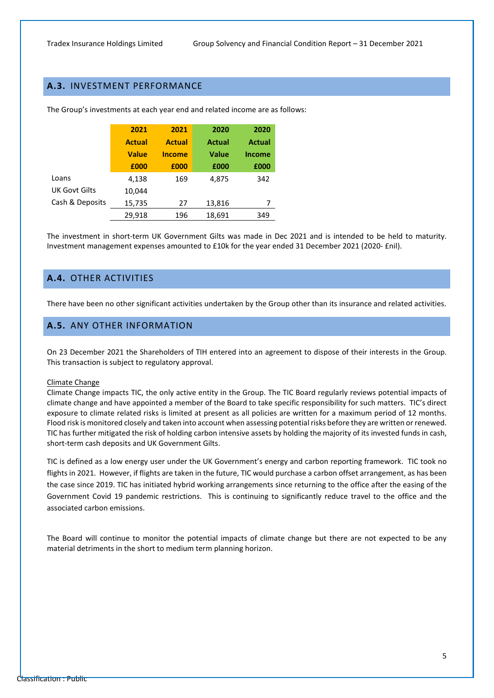### <span id="page-6-0"></span>**A.3.** INVESTMENT PERFORMANCE

|                      | 2021          | 2021          | 2020   | 2020          |
|----------------------|---------------|---------------|--------|---------------|
|                      | <b>Actual</b> | <b>Actual</b> | Actual | <b>Actual</b> |
|                      | <b>Value</b>  | <b>Income</b> | Value  | <b>Income</b> |
|                      | £000          | £000          | £000   | £000          |
| Loans                | 4,138         | 169           | 4,875  | 342           |
| <b>UK Govt Gilts</b> | 10,044        |               |        |               |
| Cash & Deposits      | 15,735        | 27            | 13,816 | 7             |
|                      | 29,918        | 196           | 18,691 | 349           |

The Group's investments at each year end and related income are as follows:

The investment in short-term UK Government Gilts was made in Dec 2021 and is intended to be held to maturity. Investment management expenses amounted to £10k for the year ended 31 December 2021 (2020- £nil).

### <span id="page-6-1"></span>**A.4.** OTHER ACTIVITIES

<span id="page-6-2"></span>There have been no other significant activities undertaken by the Group other than its insurance and related activities.

#### **A.5.** ANY OTHER INFORMATION

On 23 December 2021 the Shareholders of TIH entered into an agreement to dispose of their interests in the Group. This transaction is subject to regulatory approval.

#### Climate Change

Climate Change impacts TIC, the only active entity in the Group. The TIC Board regularly reviews potential impacts of climate change and have appointed a member of the Board to take specific responsibility for such matters. TIC's direct exposure to climate related risks is limited at present as all policies are written for a maximum period of 12 months. Flood risk is monitored closely and taken into account when assessing potential risks before they are written or renewed. TIC has further mitigated the risk of holding carbon intensive assets by holding the majority of its invested funds in cash, short-term cash deposits and UK Government Gilts.

TIC is defined as a low energy user under the UK Government's energy and carbon reporting framework. TIC took no flights in 2021. However, if flights are taken in the future, TIC would purchase a carbon offset arrangement, as has been the case since 2019. TIC has initiated hybrid working arrangements since returning to the office after the easing of the Government Covid 19 pandemic restrictions. This is continuing to significantly reduce travel to the office and the associated carbon emissions.

The Board will continue to monitor the potential impacts of climate change but there are not expected to be any material detriments in the short to medium term planning horizon.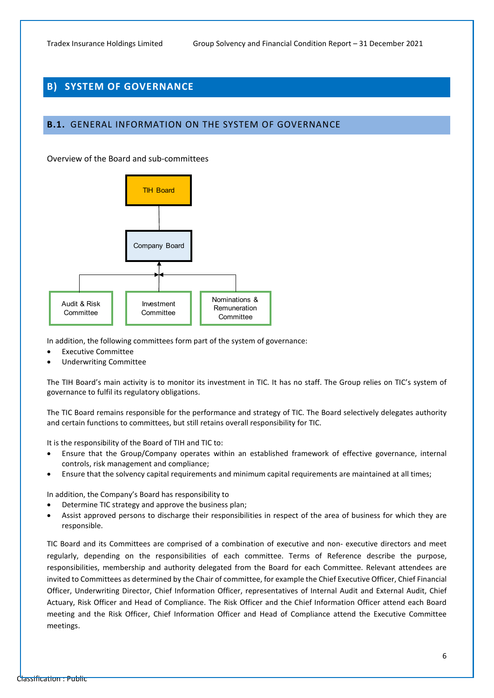### <span id="page-7-0"></span>**B) SYSTEM OF GOVERNANCE**

#### <span id="page-7-1"></span>**B.1.** GENERAL INFORMATION ON THE SYSTEM OF GOVERNANCE

Overview of the Board and sub-committees



In addition, the following committees form part of the system of governance:

- Executive Committee
- Underwriting Committee

The TIH Board's main activity is to monitor its investment in TIC. It has no staff. The Group relies on TIC's system of governance to fulfil its regulatory obligations.

The TIC Board remains responsible for the performance and strategy of TIC. The Board selectively delegates authority and certain functions to committees, but still retains overall responsibility for TIC.

It is the responsibility of the Board of TIH and TIC to:

- Ensure that the Group/Company operates within an established framework of effective governance, internal controls, risk management and compliance;
- Ensure that the solvency capital requirements and minimum capital requirements are maintained at all times;

In addition, the Company's Board has responsibility to

- Determine TIC strategy and approve the business plan;
- Assist approved persons to discharge their responsibilities in respect of the area of business for which they are responsible.

TIC Board and its Committees are comprised of a combination of executive and non- executive directors and meet regularly, depending on the responsibilities of each committee. Terms of Reference describe the purpose, responsibilities, membership and authority delegated from the Board for each Committee. Relevant attendees are invited to Committees as determined by the Chair of committee, for example the Chief Executive Officer, Chief Financial Officer, Underwriting Director, Chief Information Officer, representatives of Internal Audit and External Audit, Chief Actuary, Risk Officer and Head of Compliance. The Risk Officer and the Chief Information Officer attend each Board meeting and the Risk Officer, Chief Information Officer and Head of Compliance attend the Executive Committee meetings.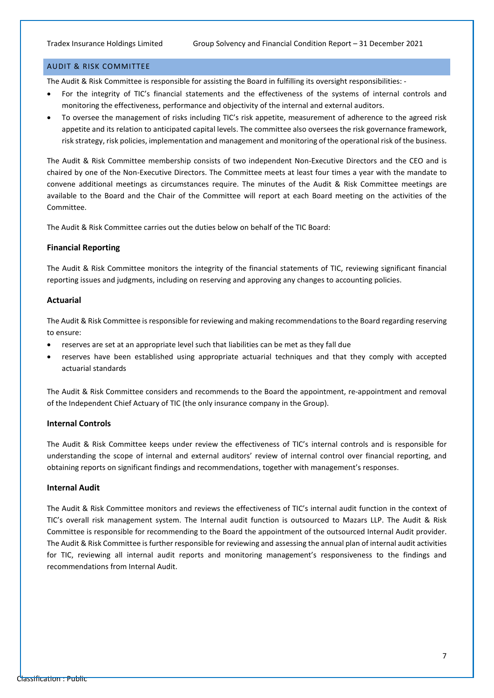#### AUDIT & RISK COMMITTEE

The Audit & Risk Committee is responsible for assisting the Board in fulfilling its oversight responsibilities: -

- For the integrity of TIC's financial statements and the effectiveness of the systems of internal controls and monitoring the effectiveness, performance and objectivity of the internal and external auditors.
- To oversee the management of risks including TIC's risk appetite, measurement of adherence to the agreed risk appetite and its relation to anticipated capital levels. The committee also oversees the risk governance framework, risk strategy, risk policies, implementation and management and monitoring of the operational risk of the business.

The Audit & Risk Committee membership consists of two independent Non-Executive Directors and the CEO and is chaired by one of the Non-Executive Directors. The Committee meets at least four times a year with the mandate to convene additional meetings as circumstances require. The minutes of the Audit & Risk Committee meetings are available to the Board and the Chair of the Committee will report at each Board meeting on the activities of the Committee.

The Audit & Risk Committee carries out the duties below on behalf of the TIC Board:

#### **Financial Reporting**

The Audit & Risk Committee monitors the integrity of the financial statements of TIC, reviewing significant financial reporting issues and judgments, including on reserving and approving any changes to accounting policies.

#### **Actuarial**

The Audit & Risk Committee is responsible for reviewing and making recommendations to the Board regarding reserving to ensure:

- reserves are set at an appropriate level such that liabilities can be met as they fall due
- reserves have been established using appropriate actuarial techniques and that they comply with accepted actuarial standards

The Audit & Risk Committee considers and recommends to the Board the appointment, re-appointment and removal of the Independent Chief Actuary of TIC (the only insurance company in the Group).

#### **Internal Controls**

The Audit & Risk Committee keeps under review the effectiveness of TIC's internal controls and is responsible for understanding the scope of internal and external auditors' review of internal control over financial reporting, and obtaining reports on significant findings and recommendations, together with management's responses.

#### **Internal Audit**

The Audit & Risk Committee monitors and reviews the effectiveness of TIC's internal audit function in the context of TIC's overall risk management system. The Internal audit function is outsourced to Mazars LLP. The Audit & Risk Committee is responsible for recommending to the Board the appointment of the outsourced Internal Audit provider. The Audit & Risk Committee is further responsible for reviewing and assessing the annual plan of internal audit activities for TIC, reviewing all internal audit reports and monitoring management's responsiveness to the findings and recommendations from Internal Audit.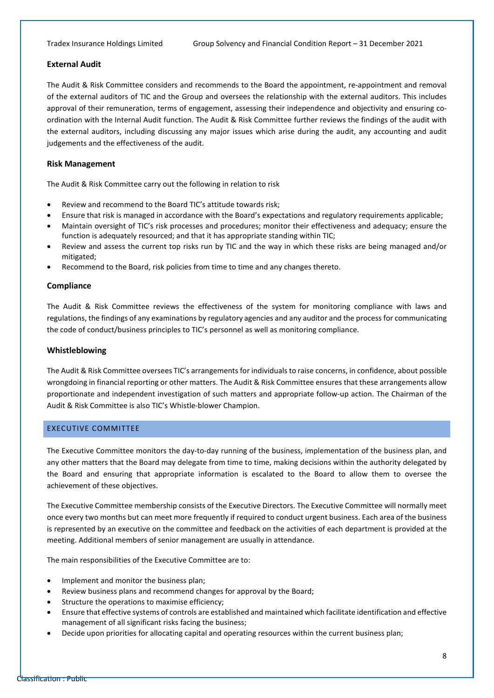#### **External Audit**

The Audit & Risk Committee considers and recommends to the Board the appointment, re-appointment and removal of the external auditors of TIC and the Group and oversees the relationship with the external auditors. This includes approval of their remuneration, terms of engagement, assessing their independence and objectivity and ensuring coordination with the Internal Audit function. The Audit & Risk Committee further reviews the findings of the audit with the external auditors, including discussing any major issues which arise during the audit, any accounting and audit judgements and the effectiveness of the audit.

#### **Risk Management**

The Audit & Risk Committee carry out the following in relation to risk

- Review and recommend to the Board TIC's attitude towards risk;
- Ensure that risk is managed in accordance with the Board's expectations and regulatory requirements applicable;
- Maintain oversight of TIC's risk processes and procedures; monitor their effectiveness and adequacy; ensure the function is adequately resourced; and that it has appropriate standing within TIC;
- Review and assess the current top risks run by TIC and the way in which these risks are being managed and/or mitigated;
- Recommend to the Board, risk policies from time to time and any changes thereto.

#### **Compliance**

The Audit & Risk Committee reviews the effectiveness of the system for monitoring compliance with laws and regulations, the findings of any examinations by regulatory agencies and any auditor and the process for communicating the code of conduct/business principles to TIC's personnel as well as monitoring compliance.

#### **Whistleblowing**

The Audit & Risk Committee oversees TIC's arrangements for individuals to raise concerns, in confidence, about possible wrongdoing in financial reporting or other matters. The Audit & Risk Committee ensures that these arrangements allow proportionate and independent investigation of such matters and appropriate follow-up action. The Chairman of the Audit & Risk Committee is also TIC's Whistle-blower Champion.

#### EXECUTIVE COMMITTEE

The Executive Committee monitors the day-to-day running of the business, implementation of the business plan, and any other matters that the Board may delegate from time to time, making decisions within the authority delegated by the Board and ensuring that appropriate information is escalated to the Board to allow them to oversee the achievement of these objectives.

The Executive Committee membership consists of the Executive Directors. The Executive Committee will normally meet once every two months but can meet more frequently if required to conduct urgent business. Each area of the business is represented by an executive on the committee and feedback on the activities of each department is provided at the meeting. Additional members of senior management are usually in attendance.

The main responsibilities of the Executive Committee are to:

- Implement and monitor the business plan;
- Review business plans and recommend changes for approval by the Board;
- Structure the operations to maximise efficiency;
- Ensure that effective systems of controls are established and maintained which facilitate identification and effective management of all significant risks facing the business;
- Decide upon priorities for allocating capital and operating resources within the current business plan;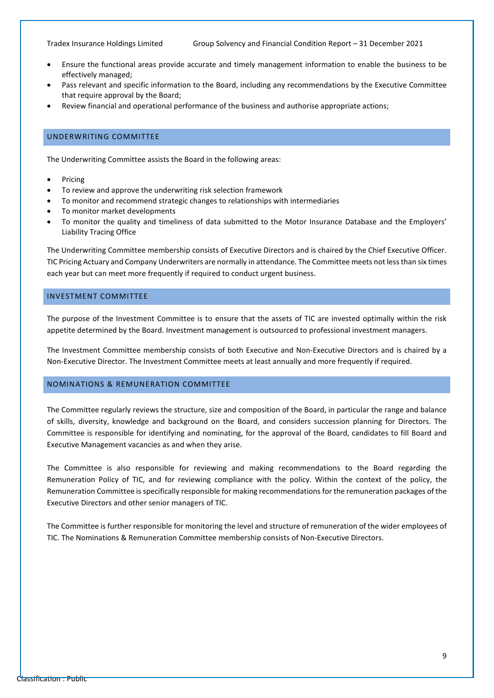- Ensure the functional areas provide accurate and timely management information to enable the business to be effectively managed;
- Pass relevant and specific information to the Board, including any recommendations by the Executive Committee that require approval by the Board;
- Review financial and operational performance of the business and authorise appropriate actions;

#### UNDERWRITING COMMITTEE

The Underwriting Committee assists the Board in the following areas:

- **Pricing**
- To review and approve the underwriting risk selection framework
- To monitor and recommend strategic changes to relationships with intermediaries
- To monitor market developments
- To monitor the quality and timeliness of data submitted to the Motor Insurance Database and the Employers' Liability Tracing Office

The Underwriting Committee membership consists of Executive Directors and is chaired by the Chief Executive Officer. TIC Pricing Actuary and Company Underwriters are normally in attendance. The Committee meets not less than six times each year but can meet more frequently if required to conduct urgent business.

#### INVESTMENT COMMITTEE

The purpose of the Investment Committee is to ensure that the assets of TIC are invested optimally within the risk appetite determined by the Board. Investment management is outsourced to professional investment managers.

The Investment Committee membership consists of both Executive and Non-Executive Directors and is chaired by a Non-Executive Director. The Investment Committee meets at least annually and more frequently if required.

#### NOMINATIONS & REMUNERATION COMMITTEE

The Committee regularly reviews the structure, size and composition of the Board, in particular the range and balance of skills, diversity, knowledge and background on the Board, and considers succession planning for Directors. The Committee is responsible for identifying and nominating, for the approval of the Board, candidates to fill Board and Executive Management vacancies as and when they arise.

The Committee is also responsible for reviewing and making recommendations to the Board regarding the Remuneration Policy of TIC, and for reviewing compliance with the policy. Within the context of the policy, the Remuneration Committee is specifically responsible for making recommendations for the remuneration packages of the Executive Directors and other senior managers of TIC.

The Committee is further responsible for monitoring the level and structure of remuneration of the wider employees of TIC. The Nominations & Remuneration Committee membership consists of Non-Executive Directors.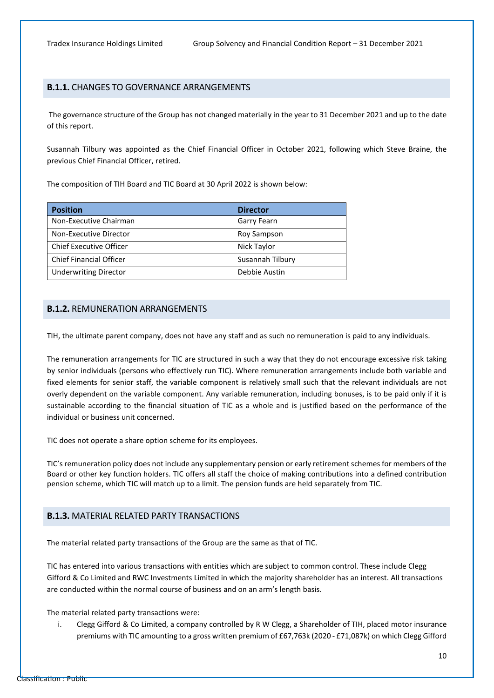#### **B.1.1.** CHANGES TO GOVERNANCE ARRANGEMENTS

 The governance structure of the Group has not changed materially in the year to 31 December 2021 and up to the date of this report.

Susannah Tilbury was appointed as the Chief Financial Officer in October 2021, following which Steve Braine, the previous Chief Financial Officer, retired.

The composition of TIH Board and TIC Board at 30 April 2022 is shown below:

| <b>Position</b>                | <b>Director</b>  |
|--------------------------------|------------------|
| Non-Executive Chairman         | Garry Fearn      |
| Non-Executive Director         | Roy Sampson      |
| <b>Chief Executive Officer</b> | Nick Taylor      |
| <b>Chief Financial Officer</b> | Susannah Tilbury |
| <b>Underwriting Director</b>   | Debbie Austin    |

#### **B.1.2.** REMUNERATION ARRANGEMENTS

TIH, the ultimate parent company, does not have any staff and as such no remuneration is paid to any individuals.

The remuneration arrangements for TIC are structured in such a way that they do not encourage excessive risk taking by senior individuals (persons who effectively run TIC). Where remuneration arrangements include both variable and fixed elements for senior staff, the variable component is relatively small such that the relevant individuals are not overly dependent on the variable component. Any variable remuneration, including bonuses, is to be paid only if it is sustainable according to the financial situation of TIC as a whole and is justified based on the performance of the individual or business unit concerned.

TIC does not operate a share option scheme for its employees.

TIC's remuneration policy does not include any supplementary pension or early retirement schemes for members of the Board or other key function holders. TIC offers all staff the choice of making contributions into a defined contribution pension scheme, which TIC will match up to a limit. The pension funds are held separately from TIC.

#### **B.1.3.** MATERIAL RELATED PARTY TRANSACTIONS

The material related party transactions of the Group are the same as that of TIC.

TIC has entered into various transactions with entities which are subject to common control. These include Clegg Gifford & Co Limited and RWC Investments Limited in which the majority shareholder has an interest. All transactions are conducted within the normal course of business and on an arm's length basis.

The material related party transactions were:

i. Clegg Gifford & Co Limited, a company controlled by R W Clegg, a Shareholder of TIH, placed motor insurance premiums with TIC amounting to a gross written premium of £67,763k (2020 - £71,087k) on which Clegg Gifford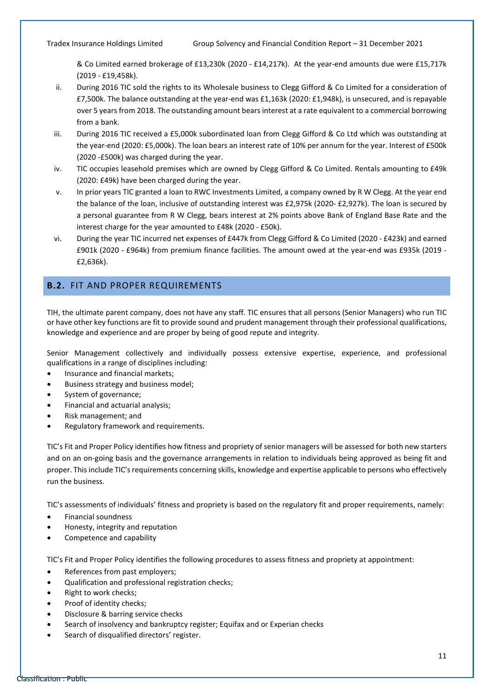& Co Limited earned brokerage of £13,230k (2020 - £14,217k). At the year-end amounts due were £15,717k (2019 - £19,458k).

- ii. During 2016 TIC sold the rights to its Wholesale business to Clegg Gifford & Co Limited for a consideration of £7,500k. The balance outstanding at the year-end was £1,163k (2020: £1,948k), is unsecured, and is repayable over 5 years from 2018. The outstanding amount bears interest at a rate equivalent to a commercial borrowing from a bank.
- iii. During 2016 TIC received a £5,000k subordinated loan from Clegg Gifford & Co Ltd which was outstanding at the year-end (2020: £5,000k). The loan bears an interest rate of 10% per annum for the year. Interest of £500k (2020 -£500k) was charged during the year.
- iv. TIC occupies leasehold premises which are owned by Clegg Gifford & Co Limited. Rentals amounting to £49k (2020: £49k) have been charged during the year.
- v. In prior years TIC granted a loan to RWC Investments Limited, a company owned by R W Clegg. At the year end the balance of the loan, inclusive of outstanding interest was £2,975k (2020- £2,927k). The loan is secured by a personal guarantee from R W Clegg, bears interest at 2% points above Bank of England Base Rate and the interest charge for the year amounted to £48k (2020 - £50k).
- vi. During the year TIC incurred net expenses of £447k from Clegg Gifford & Co Limited (2020 £423k) and earned £901k (2020 - £964k) from premium finance facilities. The amount owed at the year-end was £935k (2019 - £2,636k).

### <span id="page-12-0"></span>**B.2.** FIT AND PROPER REQUIREMENTS

TIH, the ultimate parent company, does not have any staff. TIC ensures that all persons (Senior Managers) who run TIC or have other key functions are fit to provide sound and prudent management through their professional qualifications, knowledge and experience and are proper by being of good repute and integrity.

Senior Management collectively and individually possess extensive expertise, experience, and professional qualifications in a range of disciplines including:

- Insurance and financial markets;
- Business strategy and business model;
- System of governance;
- Financial and actuarial analysis;
- Risk management; and
- Regulatory framework and requirements.

TIC's Fit and Proper Policy identifies how fitness and propriety of senior managers will be assessed for both new starters and on an on-going basis and the governance arrangements in relation to individuals being approved as being fit and proper. This include TIC'srequirements concerning skills, knowledge and expertise applicable to persons who effectively run the business.

TIC's assessments of individuals' fitness and propriety is based on the regulatory fit and proper requirements, namely:

- Financial soundness
- Honesty, integrity and reputation
- Competence and capability

TIC's Fit and Proper Policy identifies the following procedures to assess fitness and propriety at appointment:

- References from past employers;
- Qualification and professional registration checks;
- Right to work checks;
- Proof of identity checks;
- Disclosure & barring service checks
- Search of insolvency and bankruptcy register; Equifax and or Experian checks
- Search of disqualified directors' register.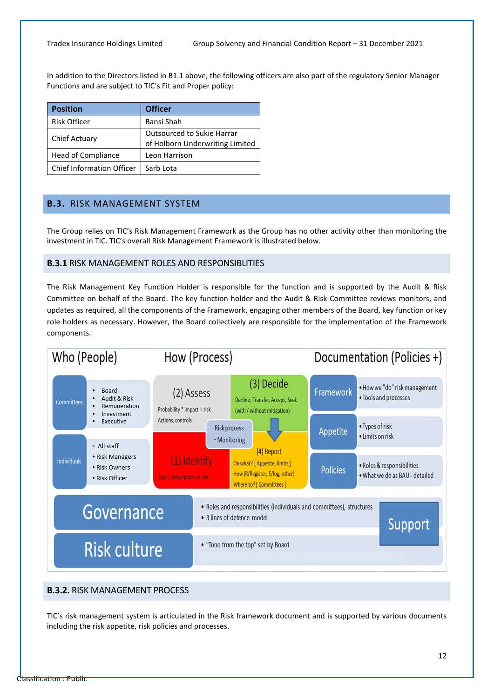In addition to the Directors listed in B1.1 above, the following officers are also part of the regulatory Senior Manager Functions and are subject to TIC's Fit and Proper policy:

| <b>Position</b>                  | <b>Officer</b>                                                |
|----------------------------------|---------------------------------------------------------------|
| <b>Risk Officer</b>              | Bansi Shah                                                    |
| <b>Chief Actuary</b>             | Outsourced to Sukie Harrar<br>of Holborn Underwriting Limited |
| Head of Compliance               | Leon Harrison                                                 |
| <b>Chief Information Officer</b> | Sarb Lota                                                     |

#### <span id="page-13-0"></span>**B.3.** RISK MANAGEMENT SYSTEM

The Group relies on TIC's Risk Management Framework as the Group has no other activity other than monitoring the investment in TIC. TIC's overall Risk Management Framework is illustrated below.

#### **B.3.1** RISK MANAGEMENT ROLES AND RESPONSIBLITIES

The Risk Management Key Function Holder is responsible for the function and is supported by the Audit & Risk Committee on behalf of the Board. The key function holder and the Audit & Risk Committee reviews monitors, and updates as required, all the components of the Framework, engaging other members of the Board, key function or key role holders as necessary. However, the Board collectively are responsible for the implementation of the Framework components.

![](_page_13_Figure_8.jpeg)

#### **B.3.2.** RISK MANAGEMENT PROCESS

TIC's risk management system is articulated in the Risk framework document and is supported by various documents including the risk appetite, risk policies and processes.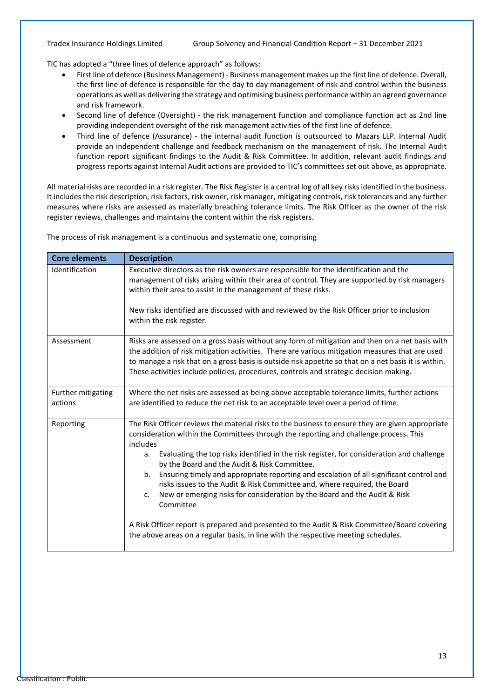TIC has adopted a "three lines of defence approach" as follows:

- First line of defence (Business Management) Business management makes up the first line of defence. Overall, the first line of defence is responsible for the day to day management of risk and control within the business operations as well as delivering the strategy and optimising business performance within an agreed governance and risk framework.
- Second line of defence (Oversight) the risk management function and compliance function act as 2nd line providing independent oversight of the risk management activities of the first line of defence.
- Third line of defence (Assurance) the internal audit function is outsourced to Mazars LLP. Internal Audit provide an independent challenge and feedback mechanism on the management of risk. The Internal Audit function report significant findings to the Audit & Risk Committee. In addition, relevant audit findings and progress reports against Internal Audit actions are provided to TIC's committees set out above, as appropriate.

All material risks are recorded in a risk register. The Risk Register is a central log of all key risks identified in the business. It includes the risk description, risk factors, risk owner, risk manager, mitigating controls, risk tolerances and any further measures where risks are assessed as materially breaching tolerance limits. The Risk Officer as the owner of the risk register reviews, challenges and maintains the content within the risk registers.

The process of risk management is a continuous and systematic one, comprising

| <b>Core elements</b>          | <b>Description</b>                                                                                                                                                                                                                                                                                                                                                                                                                                                                                                                                                                                                                     |
|-------------------------------|----------------------------------------------------------------------------------------------------------------------------------------------------------------------------------------------------------------------------------------------------------------------------------------------------------------------------------------------------------------------------------------------------------------------------------------------------------------------------------------------------------------------------------------------------------------------------------------------------------------------------------------|
| Identification                | Executive directors as the risk owners are responsible for the identification and the<br>management of risks arising within their area of control. They are supported by risk managers<br>within their area to assist in the management of these risks.<br>New risks identified are discussed with and reviewed by the Risk Officer prior to inclusion<br>within the risk register.                                                                                                                                                                                                                                                    |
| Assessment                    | Risks are assessed on a gross basis without any form of mitigation and then on a net basis with<br>the addition of risk mitigation activities. There are various mitigation measures that are used<br>to manage a risk that on a gross basis is outside risk appetite so that on a net basis it is within.<br>These activities include policies, procedures, controls and strategic decision making.                                                                                                                                                                                                                                   |
| Further mitigating<br>actions | Where the net risks are assessed as being above acceptable tolerance limits, further actions<br>are identified to reduce the net risk to an acceptable level over a period of time.                                                                                                                                                                                                                                                                                                                                                                                                                                                    |
| Reporting                     | The Risk Officer reviews the material risks to the business to ensure they are given appropriate<br>consideration within the Committees through the reporting and challenge process. This<br>includes<br>Evaluating the top risks identified in the risk register, for consideration and challenge<br>а.<br>by the Board and the Audit & Risk Committee.<br>Ensuring timely and appropriate reporting and escalation of all significant control and<br>b.<br>risks issues to the Audit & Risk Committee and, where required, the Board<br>New or emerging risks for consideration by the Board and the Audit & Risk<br>c.<br>Committee |
|                               | A Risk Officer report is prepared and presented to the Audit & Risk Committee/Board covering<br>the above areas on a regular basis, in line with the respective meeting schedules.                                                                                                                                                                                                                                                                                                                                                                                                                                                     |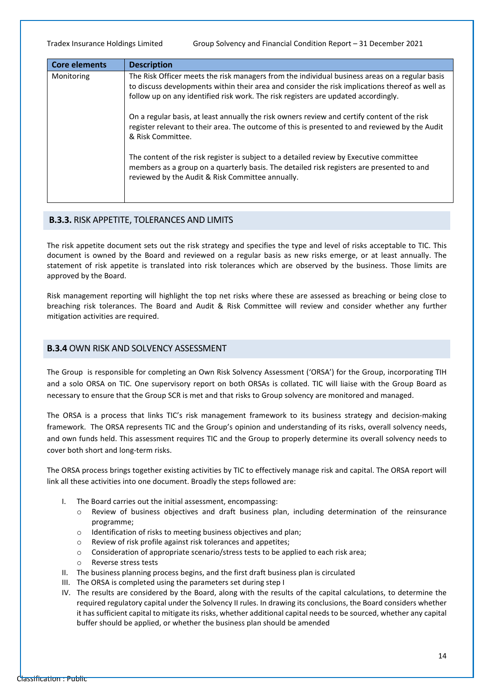| <b>Core elements</b> | <b>Description</b>                                                                                                                                                                                                                                                                      |
|----------------------|-----------------------------------------------------------------------------------------------------------------------------------------------------------------------------------------------------------------------------------------------------------------------------------------|
| Monitoring           | The Risk Officer meets the risk managers from the individual business areas on a regular basis<br>to discuss developments within their area and consider the risk implications thereof as well as<br>follow up on any identified risk work. The risk registers are updated accordingly. |
|                      | On a regular basis, at least annually the risk owners review and certify content of the risk<br>register relevant to their area. The outcome of this is presented to and reviewed by the Audit<br>& Risk Committee.                                                                     |
|                      | The content of the risk register is subject to a detailed review by Executive committee<br>members as a group on a quarterly basis. The detailed risk registers are presented to and<br>reviewed by the Audit & Risk Committee annually.                                                |

#### **B.3.3.** RISK APPETITE, TOLERANCES AND LIMITS

The risk appetite document sets out the risk strategy and specifies the type and level of risks acceptable to TIC. This document is owned by the Board and reviewed on a regular basis as new risks emerge, or at least annually. The statement of risk appetite is translated into risk tolerances which are observed by the business. Those limits are approved by the Board.

Risk management reporting will highlight the top net risks where these are assessed as breaching or being close to breaching risk tolerances. The Board and Audit & Risk Committee will review and consider whether any further mitigation activities are required.

#### **B.3.4** OWN RISK AND SOLVENCY ASSESSMENT

The Group is responsible for completing an Own Risk Solvency Assessment ('ORSA') for the Group, incorporating TIH and a solo ORSA on TIC. One supervisory report on both ORSAs is collated. TIC will liaise with the Group Board as necessary to ensure that the Group SCR is met and that risks to Group solvency are monitored and managed.

The ORSA is a process that links TIC's risk management framework to its business strategy and decision-making framework. The ORSA represents TIC and the Group's opinion and understanding of its risks, overall solvency needs, and own funds held. This assessment requires TIC and the Group to properly determine its overall solvency needs to cover both short and long-term risks.

The ORSA process brings together existing activities by TIC to effectively manage risk and capital. The ORSA report will link all these activities into one document. Broadly the steps followed are:

- I. The Board carries out the initial assessment, encompassing:
	- o Review of business objectives and draft business plan, including determination of the reinsurance programme;
	- o Identification of risks to meeting business objectives and plan;
	- o Review of risk profile against risk tolerances and appetites;
	- o Consideration of appropriate scenario/stress tests to be applied to each risk area;
	- o Reverse stress tests
- II. The business planning process begins, and the first draft business plan is circulated
- III. The ORSA is completed using the parameters set during step I
- IV. The results are considered by the Board, along with the results of the capital calculations, to determine the required regulatory capital under the Solvency II rules. In drawing its conclusions, the Board considers whether it has sufficient capital to mitigate its risks, whether additional capital needs to be sourced, whether any capital buffer should be applied, or whether the business plan should be amended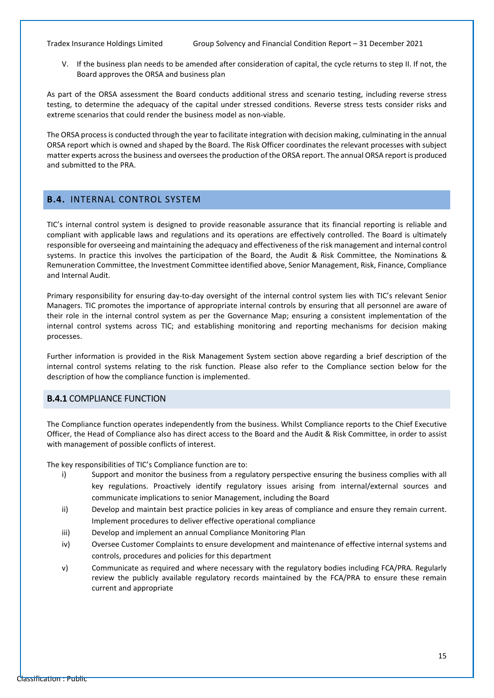V. If the business plan needs to be amended after consideration of capital, the cycle returns to step II. If not, the Board approves the ORSA and business plan

As part of the ORSA assessment the Board conducts additional stress and scenario testing, including reverse stress testing, to determine the adequacy of the capital under stressed conditions. Reverse stress tests consider risks and extreme scenarios that could render the business model as non-viable.

The ORSA process is conducted through the year to facilitate integration with decision making, culminating in the annual ORSA report which is owned and shaped by the Board. The Risk Officer coordinates the relevant processes with subject matter experts across the business and oversees the production of the ORSA report. The annual ORSA report is produced and submitted to the PRA.

#### <span id="page-16-0"></span>**B.4.** INTERNAL CONTROL SYSTEM

TIC's internal control system is designed to provide reasonable assurance that its financial reporting is reliable and compliant with applicable laws and regulations and its operations are effectively controlled. The Board is ultimately responsible for overseeing and maintaining the adequacy and effectiveness of the risk management and internal control systems. In practice this involves the participation of the Board, the Audit & Risk Committee, the Nominations & Remuneration Committee, the Investment Committee identified above, Senior Management, Risk, Finance, Compliance and Internal Audit.

Primary responsibility for ensuring day-to-day oversight of the internal control system lies with TIC's relevant Senior Managers. TIC promotes the importance of appropriate internal controls by ensuring that all personnel are aware of their role in the internal control system as per the Governance Map; ensuring a consistent implementation of the internal control systems across TIC; and establishing monitoring and reporting mechanisms for decision making processes.

Further information is provided in the Risk Management System section above regarding a brief description of the internal control systems relating to the risk function. Please also refer to the Compliance section below for the description of how the compliance function is implemented.

#### **B.4.1** COMPLIANCE FUNCTION

The Compliance function operates independently from the business. Whilst Compliance reports to the Chief Executive Officer, the Head of Compliance also has direct access to the Board and the Audit & Risk Committee, in order to assist with management of possible conflicts of interest.

The key responsibilities of TIC's Compliance function are to:

- i) Support and monitor the business from a regulatory perspective ensuring the business complies with all key regulations. Proactively identify regulatory issues arising from internal/external sources and communicate implications to senior Management, including the Board
- ii) Develop and maintain best practice policies in key areas of compliance and ensure they remain current. Implement procedures to deliver effective operational compliance
- iii) Develop and implement an annual Compliance Monitoring Plan
- iv) Oversee Customer Complaints to ensure development and maintenance of effective internal systems and controls, procedures and policies for this department
- v) Communicate as required and where necessary with the regulatory bodies including FCA/PRA. Regularly review the publicly available regulatory records maintained by the FCA/PRA to ensure these remain current and appropriate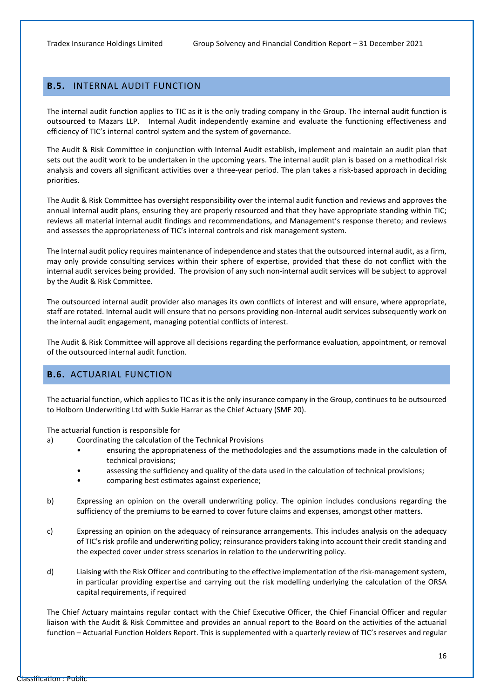### <span id="page-17-0"></span>**B.5.** INTERNAL AUDIT FUNCTION

The internal audit function applies to TIC as it is the only trading company in the Group. The internal audit function is outsourced to Mazars LLP. Internal Audit independently examine and evaluate the functioning effectiveness and efficiency of TIC's internal control system and the system of governance.

The Audit & Risk Committee in conjunction with Internal Audit establish, implement and maintain an audit plan that sets out the audit work to be undertaken in the upcoming years. The internal audit plan is based on a methodical risk analysis and covers all significant activities over a three-year period. The plan takes a risk-based approach in deciding priorities.

The Audit & Risk Committee has oversight responsibility over the internal audit function and reviews and approves the annual internal audit plans, ensuring they are properly resourced and that they have appropriate standing within TIC; reviews all material internal audit findings and recommendations, and Management's response thereto; and reviews and assesses the appropriateness of TIC's internal controls and risk management system.

The Internal audit policy requires maintenance of independence and states that the outsourced internal audit, as a firm, may only provide consulting services within their sphere of expertise, provided that these do not conflict with the internal audit services being provided. The provision of any such non-internal audit services will be subject to approval by the Audit & Risk Committee.

The outsourced internal audit provider also manages its own conflicts of interest and will ensure, where appropriate, staff are rotated. Internal audit will ensure that no persons providing non-Internal audit services subsequently work on the internal audit engagement, managing potential conflicts of interest.

The Audit & Risk Committee will approve all decisions regarding the performance evaluation, appointment, or removal of the outsourced internal audit function.

### <span id="page-17-1"></span>**B.6.** ACTUARIAL FUNCTION

The actuarial function, which applies to TIC as it is the only insurance company in the Group, continues to be outsourced to Holborn Underwriting Ltd with Sukie Harrar as the Chief Actuary (SMF 20).

The actuarial function is responsible for

- a) Coordinating the calculation of the Technical Provisions
	- ensuring the appropriateness of the methodologies and the assumptions made in the calculation of technical provisions;
	- assessing the sufficiency and quality of the data used in the calculation of technical provisions;
	- comparing best estimates against experience;
- b) Expressing an opinion on the overall underwriting policy. The opinion includes conclusions regarding the sufficiency of the premiums to be earned to cover future claims and expenses, amongst other matters.
- c) Expressing an opinion on the adequacy of reinsurance arrangements. This includes analysis on the adequacy of TIC's risk profile and underwriting policy; reinsurance providers taking into account their credit standing and the expected cover under stress scenarios in relation to the underwriting policy.
- d) Liaising with the Risk Officer and contributing to the effective implementation of the risk-management system, in particular providing expertise and carrying out the risk modelling underlying the calculation of the ORSA capital requirements, if required

The Chief Actuary maintains regular contact with the Chief Executive Officer, the Chief Financial Officer and regular liaison with the Audit & Risk Committee and provides an annual report to the Board on the activities of the actuarial function – Actuarial Function Holders Report. This is supplemented with a quarterly review of TIC's reserves and regular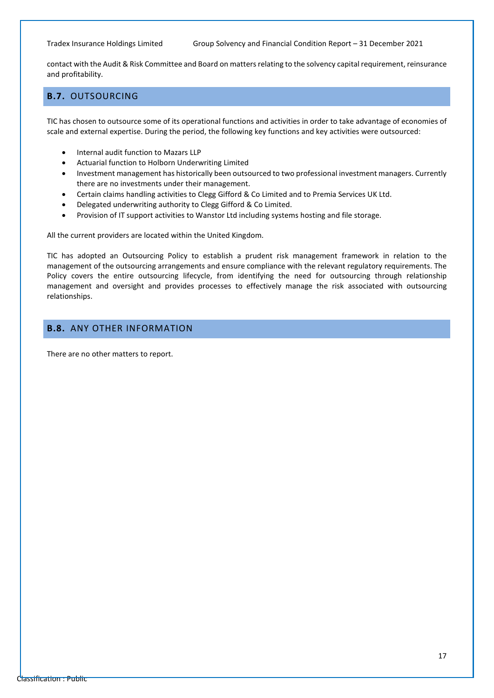contact with the Audit & Risk Committee and Board on matters relating to the solvency capital requirement, reinsurance and profitability.

### <span id="page-18-0"></span>**B.7.** OUTSOURCING

TIC has chosen to outsource some of its operational functions and activities in order to take advantage of economies of scale and external expertise. During the period, the following key functions and key activities were outsourced:

- Internal audit function to Mazars LLP
- Actuarial function to Holborn Underwriting Limited
- Investment management has historically been outsourced to two professional investment managers. Currently there are no investments under their management.
- Certain claims handling activities to Clegg Gifford & Co Limited and to Premia Services UK Ltd.
- Delegated underwriting authority to Clegg Gifford & Co Limited.
- Provision of IT support activities to Wanstor Ltd including systems hosting and file storage.

All the current providers are located within the United Kingdom.

TIC has adopted an Outsourcing Policy to establish a prudent risk management framework in relation to the management of the outsourcing arrangements and ensure compliance with the relevant regulatory requirements. The Policy covers the entire outsourcing lifecycle, from identifying the need for outsourcing through relationship management and oversight and provides processes to effectively manage the risk associated with outsourcing relationships.

### <span id="page-18-1"></span>**B.8.** ANY OTHER INFORMATION

There are no other matters to report.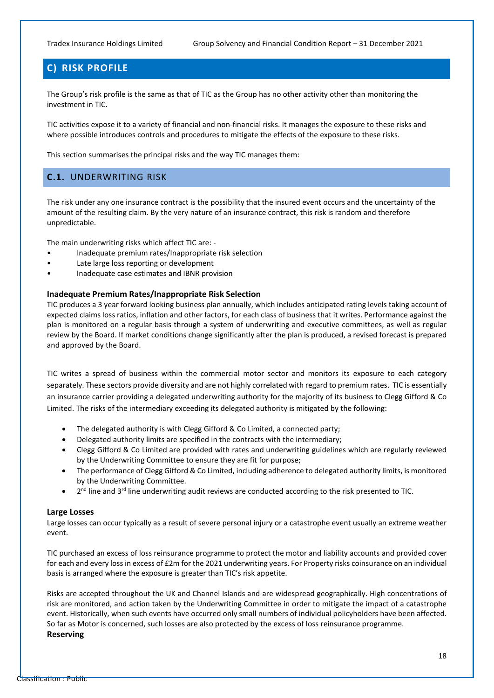### <span id="page-19-0"></span>**C) RISK PROFILE**

The Group's risk profile is the same as that of TIC as the Group has no other activity other than monitoring the investment in TIC.

TIC activities expose it to a variety of financial and non-financial risks. It manages the exposure to these risks and where possible introduces controls and procedures to mitigate the effects of the exposure to these risks.

<span id="page-19-1"></span>This section summarises the principal risks and the way TIC manages them:

#### **C.1.** UNDERWRITING RISK

The risk under any one insurance contract is the possibility that the insured event occurs and the uncertainty of the amount of the resulting claim. By the very nature of an insurance contract, this risk is random and therefore unpredictable.

The main underwriting risks which affect TIC are: -

- Inadequate premium rates/Inappropriate risk selection
- Late large loss reporting or development
- Inadequate case estimates and IBNR provision

#### **Inadequate Premium Rates/Inappropriate Risk Selection**

TIC produces a 3 year forward looking business plan annually, which includes anticipated rating levels taking account of expected claims loss ratios, inflation and other factors, for each class of business that it writes. Performance against the plan is monitored on a regular basis through a system of underwriting and executive committees, as well as regular review by the Board. If market conditions change significantly after the plan is produced, a revised forecast is prepared and approved by the Board.

TIC writes a spread of business within the commercial motor sector and monitors its exposure to each category separately. These sectors provide diversity and are not highly correlated with regard to premium rates. TIC is essentially an insurance carrier providing a delegated underwriting authority for the majority of its business to Clegg Gifford & Co Limited. The risks of the intermediary exceeding its delegated authority is mitigated by the following:

- The delegated authority is with Clegg Gifford & Co Limited, a connected party;
- Delegated authority limits are specified in the contracts with the intermediary;
- Clegg Gifford & Co Limited are provided with rates and underwriting guidelines which are regularly reviewed by the Underwriting Committee to ensure they are fit for purpose;
- The performance of Clegg Gifford & Co Limited, including adherence to delegated authority limits, is monitored by the Underwriting Committee.
- 2<sup>nd</sup> line and 3<sup>rd</sup> line underwriting audit reviews are conducted according to the risk presented to TIC.

#### **Large Losses**

Large losses can occur typically as a result of severe personal injury or a catastrophe event usually an extreme weather event.

TIC purchased an excess of loss reinsurance programme to protect the motor and liability accounts and provided cover for each and every loss in excess of £2m for the 2021 underwriting years. For Property risks coinsurance on an individual basis is arranged where the exposure is greater than TIC's risk appetite.

Risks are accepted throughout the UK and Channel Islands and are widespread geographically. High concentrations of risk are monitored, and action taken by the Underwriting Committee in order to mitigate the impact of a catastrophe event. Historically, when such events have occurred only small numbers of individual policyholders have been affected. So far as Motor is concerned, such losses are also protected by the excess of loss reinsurance programme.

#### **Reserving**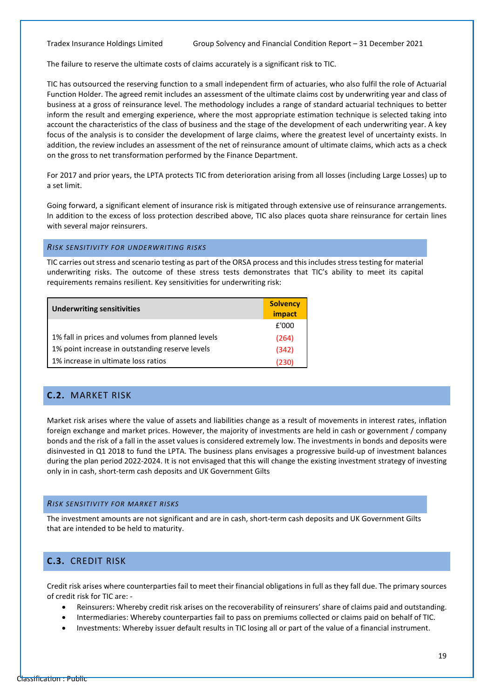The failure to reserve the ultimate costs of claims accurately is a significant risk to TIC.

TIC has outsourced the reserving function to a small independent firm of actuaries, who also fulfil the role of Actuarial Function Holder. The agreed remit includes an assessment of the ultimate claims cost by underwriting year and class of business at a gross of reinsurance level. The methodology includes a range of standard actuarial techniques to better inform the result and emerging experience, where the most appropriate estimation technique is selected taking into account the characteristics of the class of business and the stage of the development of each underwriting year. A key focus of the analysis is to consider the development of large claims, where the greatest level of uncertainty exists. In addition, the review includes an assessment of the net of reinsurance amount of ultimate claims, which acts as a check on the gross to net transformation performed by the Finance Department.

For 2017 and prior years, the LPTA protects TIC from deterioration arising from all losses (including Large Losses) up to a set limit.

Going forward, a significant element of insurance risk is mitigated through extensive use of reinsurance arrangements. In addition to the excess of loss protection described above, TIC also places quota share reinsurance for certain lines with several major reinsurers.

#### *RISK SENSITIVITY FOR UNDERWRITING RISKS*

TIC carries out stress and scenario testing as part of the ORSA process and this includes stress testing for material underwriting risks. The outcome of these stress tests demonstrates that TIC's ability to meet its capital requirements remains resilient. Key sensitivities for underwriting risk:

| <b>Underwriting sensitivities</b>                 | <b>Solvency</b><br>impact |
|---------------------------------------------------|---------------------------|
|                                                   | £'000                     |
| 1% fall in prices and volumes from planned levels | (264)                     |
| 1% point increase in outstanding reserve levels   | (342)                     |
| 1% increase in ultimate loss ratios               | (230)                     |

### <span id="page-20-0"></span>**C.2.** MARKET RISK

Market risk arises where the value of assets and liabilities change as a result of movements in interest rates, inflation foreign exchange and market prices. However, the majority of investments are held in cash or government / company bonds and the risk of a fall in the asset values is considered extremely low. The investments in bonds and deposits were disinvested in Q1 2018 to fund the LPTA. The business plans envisages a progressive build-up of investment balances during the plan period 2022-2024. It is not envisaged that this will change the existing investment strategy of investing only in in cash, short-term cash deposits and UK Government Gilts

#### *RISK SENSITIVITY FOR MARKET RISKS*

The investment amounts are not significant and are in cash, short-term cash deposits and UK Government Gilts that are intended to be held to maturity.

#### <span id="page-20-1"></span>**C.3.** CREDIT RISK

Credit risk arises where counterparties fail to meet their financial obligations in full as they fall due. The primary sources of credit risk for TIC are: -

- Reinsurers: Whereby credit risk arises on the recoverability of reinsurers' share of claims paid and outstanding.
- Intermediaries: Whereby counterparties fail to pass on premiums collected or claims paid on behalf of TIC.
- Investments: Whereby issuer default results in TIC losing all or part of the value of a financial instrument.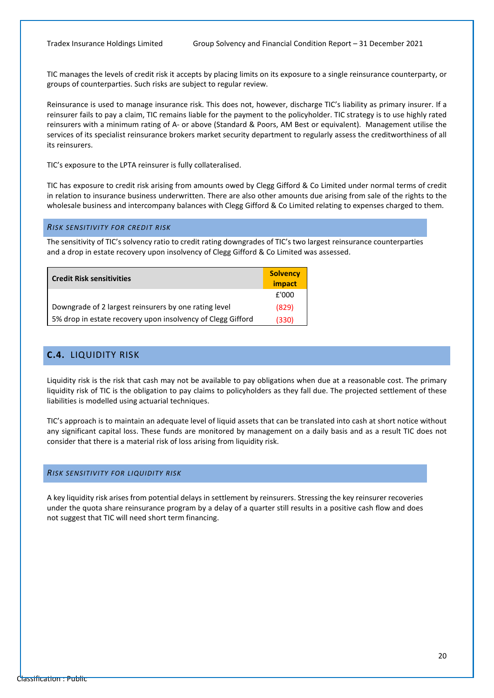TIC manages the levels of credit risk it accepts by placing limits on its exposure to a single reinsurance counterparty, or groups of counterparties. Such risks are subject to regular review.

Reinsurance is used to manage insurance risk. This does not, however, discharge TIC's liability as primary insurer. If a reinsurer fails to pay a claim, TIC remains liable for the payment to the policyholder. TIC strategy is to use highly rated reinsurers with a minimum rating of A- or above (Standard & Poors, AM Best or equivalent). Management utilise the services of its specialist reinsurance brokers market security department to regularly assess the creditworthiness of all its reinsurers.

TIC's exposure to the LPTA reinsurer is fully collateralised.

TIC has exposure to credit risk arising from amounts owed by Clegg Gifford & Co Limited under normal terms of credit in relation to insurance business underwritten. There are also other amounts due arising from sale of the rights to the wholesale business and intercompany balances with Clegg Gifford & Co Limited relating to expenses charged to them.

#### *RISK SENSITIVITY FOR CREDIT RISK*

The sensitivity of TIC's solvency ratio to credit rating downgrades of TIC's two largest reinsurance counterparties and a drop in estate recovery upon insolvency of Clegg Gifford & Co Limited was assessed.

<span id="page-21-0"></span>

| <b>Credit Risk sensitivities</b>                            | <b>Solvency</b><br>impact |
|-------------------------------------------------------------|---------------------------|
|                                                             | £'000                     |
| Downgrade of 2 largest reinsurers by one rating level       | (829)                     |
| 5% drop in estate recovery upon insolvency of Clegg Gifford | (330)                     |

#### **C.4.** LIQUIDITY RISK

Liquidity risk is the risk that cash may not be available to pay obligations when due at a reasonable cost. The primary liquidity risk of TIC is the obligation to pay claims to policyholders as they fall due. The projected settlement of these liabilities is modelled using actuarial techniques.

TIC's approach is to maintain an adequate level of liquid assets that can be translated into cash at short notice without any significant capital loss. These funds are monitored by management on a daily basis and as a result TIC does not consider that there is a material risk of loss arising from liquidity risk.

#### *RISK SENSITIVITY FOR LIQUIDITY RISK*

A key liquidity risk arises from potential delays in settlement by reinsurers. Stressing the key reinsurer recoveries under the quota share reinsurance program by a delay of a quarter still results in a positive cash flow and does not suggest that TIC will need short term financing.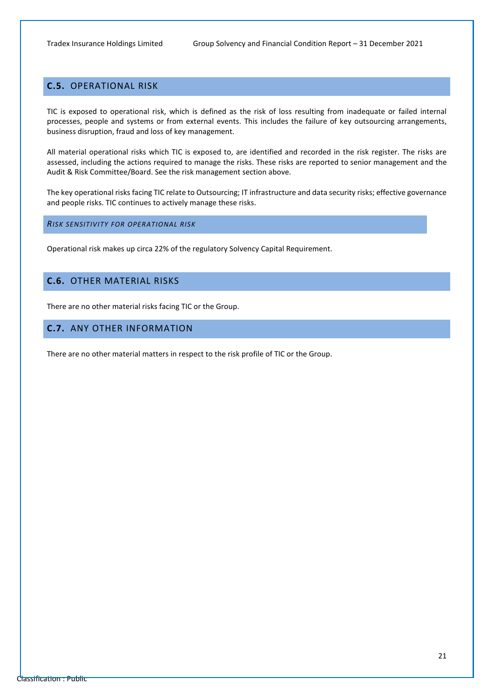### <span id="page-22-0"></span>**C.5.** OPERATIONAL RISK

TIC is exposed to operational risk, which is defined as the risk of loss resulting from inadequate or failed internal processes, people and systems or from external events. This includes the failure of key outsourcing arrangements, business disruption, fraud and loss of key management.

All material operational risks which TIC is exposed to, are identified and recorded in the risk register. The risks are assessed, including the actions required to manage the risks. These risks are reported to senior management and the Audit & Risk Committee/Board. See the risk management section above.

The key operational risks facing TIC relate to Outsourcing; IT infrastructure and data security risks; effective governance and people risks. TIC continues to actively manage these risks.

*RISK SENSITIVITY FOR OPERATIONAL RISK*

Operational risk makes up circa 22% of the regulatory Solvency Capital Requirement.

### <span id="page-22-1"></span>**C.6.** OTHER MATERIAL RISKS

<span id="page-22-2"></span>There are no other material risks facing TIC or the Group.

#### **C.7.** ANY OTHER INFORMATION

There are no other material matters in respect to the risk profile of TIC or the Group.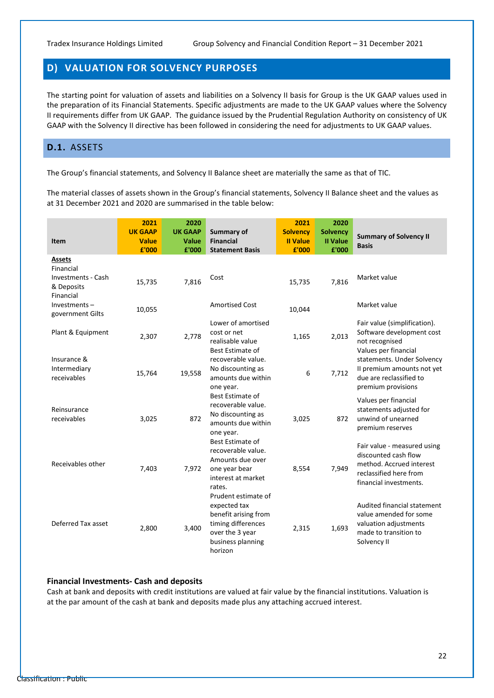### <span id="page-23-0"></span>**D) VALUATION FOR SOLVENCY PURPOSES**

The starting point for valuation of assets and liabilities on a Solvency II basis for Group is the UK GAAP values used in the preparation of its Financial Statements. Specific adjustments are made to the UK GAAP values where the Solvency II requirements differ from UK GAAP. The guidance issued by the Prudential Regulation Authority on consistency of UK GAAP with the Solvency II directive has been followed in considering the need for adjustments to UK GAAP values.

#### <span id="page-23-1"></span>**D.1.** ASSETS

The Group's financial statements, and Solvency II Balance sheet are materially the same as that of TIC.

The material classes of assets shown in the Group's financial statements, Solvency II Balance sheet and the values as at 31 December 2021 and 2020 are summarised in the table below:

| Item                                                                        | 2021<br><b>UK GAAP</b><br><b>Value</b> | 2020<br><b>UK GAAP</b><br><b>Value</b> | Summary of<br><b>Financial</b>                                                                                                     | 2021<br><b>Solvency</b><br><b>Il Value</b> | 2020<br><b>Solvency</b><br><b>II Value</b> | <b>Summary of Solvency II</b><br><b>Basis</b>                                                                                       |
|-----------------------------------------------------------------------------|----------------------------------------|----------------------------------------|------------------------------------------------------------------------------------------------------------------------------------|--------------------------------------------|--------------------------------------------|-------------------------------------------------------------------------------------------------------------------------------------|
|                                                                             | £'000                                  | £'000                                  | <b>Statement Basis</b>                                                                                                             | £'000                                      | £'000                                      |                                                                                                                                     |
| Assets<br>Financial<br><b>Investments - Cash</b><br>& Deposits<br>Financial | 15,735                                 | 7,816                                  | Cost                                                                                                                               | 15,735                                     | 7,816                                      | Market value                                                                                                                        |
| $Investments -$<br>government Gilts                                         | 10,055                                 |                                        | <b>Amortised Cost</b>                                                                                                              | 10,044                                     |                                            | Market value                                                                                                                        |
| Plant & Equipment                                                           | 2,307                                  | 2,778                                  | Lower of amortised<br>cost or net<br>realisable value<br>Best Estimate of                                                          | 1,165                                      | 2,013                                      | Fair value (simplification).<br>Software development cost<br>not recognised<br>Values per financial                                 |
| Insurance &<br>Intermediary<br>receivables                                  | 15,764                                 | 19,558                                 | recoverable value.<br>No discounting as<br>amounts due within<br>one year.                                                         | 6                                          | 7,712                                      | statements. Under Solvency<br>Il premium amounts not yet<br>due are reclassified to<br>premium provisions                           |
| Reinsurance<br>receivables                                                  | 3,025                                  | 872                                    | Best Estimate of<br>recoverable value.<br>No discounting as<br>amounts due within<br>one year.                                     | 3,025                                      | 872                                        | Values per financial<br>statements adjusted for<br>unwind of unearned<br>premium reserves                                           |
| Receivables other                                                           | 7,403                                  | 7,972                                  | Best Estimate of<br>recoverable value.<br>Amounts due over<br>one year bear<br>interest at market<br>rates.<br>Prudent estimate of | 8,554                                      | 7,949                                      | Fair value - measured using<br>discounted cash flow<br>method. Accrued interest<br>reclassified here from<br>financial investments. |
| Deferred Tax asset                                                          | 2,800                                  | 3,400                                  | expected tax<br>benefit arising from<br>timing differences<br>over the 3 year<br>business planning<br>horizon                      | 2,315                                      | 1,693                                      | Audited financial statement<br>value amended for some<br>valuation adjustments<br>made to transition to<br>Solvency II              |

#### **Financial Investments- Cash and deposits**

Cash at bank and deposits with credit institutions are valued at fair value by the financial institutions. Valuation is at the par amount of the cash at bank and deposits made plus any attaching accrued interest.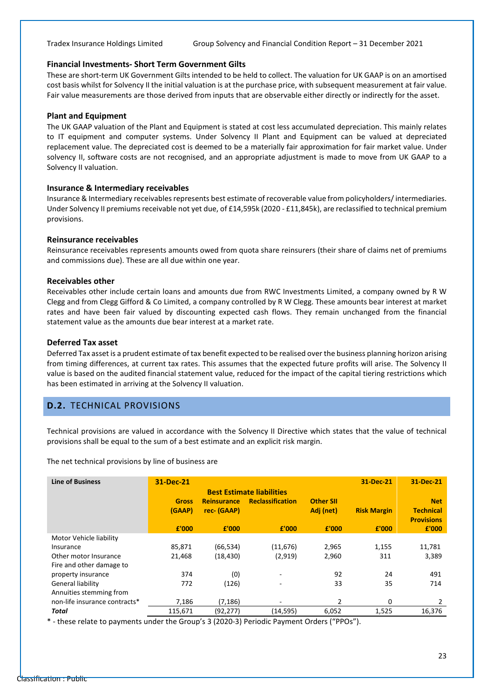#### **Financial Investments- Short Term Government Gilts**

These are short-term UK Government Gilts intended to be held to collect. The valuation for UK GAAP is on an amortised cost basis whilst for Solvency II the initial valuation is at the purchase price, with subsequent measurement at fair value. Fair value measurements are those derived from inputs that are observable either directly or indirectly for the asset.

#### **Plant and Equipment**

The UK GAAP valuation of the Plant and Equipment is stated at cost less accumulated depreciation. This mainly relates to IT equipment and computer systems. Under Solvency II Plant and Equipment can be valued at depreciated replacement value. The depreciated cost is deemed to be a materially fair approximation for fair market value. Under solvency II, software costs are not recognised, and an appropriate adjustment is made to move from UK GAAP to a Solvency II valuation.

#### **Insurance & Intermediary receivables**

Insurance & Intermediary receivables represents best estimate of recoverable value from policyholders/ intermediaries. Under Solvency II premiums receivable not yet due, of £14,595k (2020 - £11,845k), are reclassified to technical premium provisions.

#### **Reinsurance receivables**

Reinsurance receivables represents amounts owed from quota share reinsurers (their share of claims net of premiums and commissions due). These are all due within one year.

#### **Receivables other**

Receivables other include certain loans and amounts due from RWC Investments Limited, a company owned by R W Clegg and from Clegg Gifford & Co Limited, a company controlled by R W Clegg. These amounts bear interest at market rates and have been fair valued by discounting expected cash flows. They remain unchanged from the financial statement value as the amounts due bear interest at a market rate.

#### **Deferred Tax asset**

Deferred Tax asset is a prudent estimate of tax benefit expected to be realised over the business planning horizon arising from timing differences, at current tax rates. This assumes that the expected future profits will arise. The Solvency II value is based on the audited financial statement value, reduced for the impact of the capital tiering restrictions which has been estimated in arriving at the Solvency II valuation.

#### <span id="page-24-0"></span>**D.2.** TECHNICAL PROVISIONS

Technical provisions are valued in accordance with the Solvency II Directive which states that the value of technical provisions shall be equal to the sum of a best estimate and an explicit risk margin.

The net technical provisions by line of business are

| <b>Line of Business</b>       | 31-Dec-21    |                    |                                  |                  | 31-Dec-21          | 31-Dec-21         |
|-------------------------------|--------------|--------------------|----------------------------------|------------------|--------------------|-------------------|
|                               |              |                    | <b>Best Estimate liabilities</b> |                  |                    |                   |
|                               | <b>Gross</b> | <b>Reinsurance</b> | <b>Reclassification</b>          | <b>Other SII</b> |                    | <b>Net</b>        |
|                               | (GAAP)       | rec- (GAAP)        |                                  | Adj (net)        | <b>Risk Margin</b> | <b>Technical</b>  |
|                               |              |                    |                                  |                  |                    | <b>Provisions</b> |
|                               | f'000        | £'000              | f'000                            | f'000            | f'000              | £'000             |
| Motor Vehicle liability       |              |                    |                                  |                  |                    |                   |
| Insurance                     | 85,871       | (66, 534)          | (11, 676)                        | 2,965            | 1,155              | 11,781            |
| Other motor Insurance         | 21,468       | (18, 430)          | (2,919)                          | 2,960            | 311                | 3,389             |
| Fire and other damage to      |              |                    |                                  |                  |                    |                   |
| property insurance            | 374          | (0)                |                                  | 92               | 24                 | 491               |
| General liability             | 772          | (126)              |                                  | 33               | 35                 | 714               |
| Annuities stemming from       |              |                    |                                  |                  |                    |                   |
| non-life insurance contracts* | 7,186        | (7, 186)           |                                  | $\overline{2}$   | 0                  | 2                 |
| Total                         | 115,671      | (92, 277)          | (14, 595)                        | 6,052            | 1,525              | 16,376            |

\* - these relate to payments under the Group's 3 (2020-3) Periodic Payment Orders ("PPOs").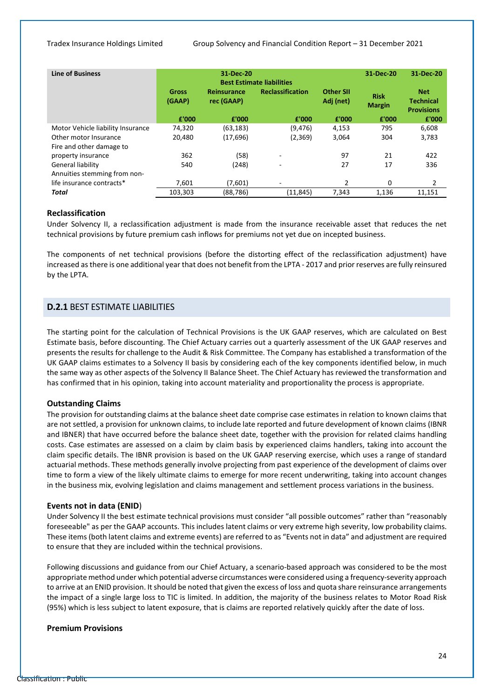| <b>Line of Business</b>           |                        | 31-Dec-20                        | <b>Best Estimate liabilities</b> |                               | 31-Dec-20                    | 31-Dec-20                                           |
|-----------------------------------|------------------------|----------------------------------|----------------------------------|-------------------------------|------------------------------|-----------------------------------------------------|
|                                   | <b>Gross</b><br>(GAAP) | <b>Reinsurance</b><br>rec (GAAP) | <b>Reclassification</b>          | <b>Other SII</b><br>Adj (net) | <b>Risk</b><br><b>Margin</b> | <b>Net</b><br><b>Technical</b><br><b>Provisions</b> |
|                                   | £'000                  | £'000                            | £'000                            | £'000                         | £'000                        | £'000                                               |
| Motor Vehicle liability Insurance | 74,320                 | (63, 183)                        | (9,476)                          | 4,153                         | 795                          | 6,608                                               |
| Other motor Insurance             | 20.480                 | (17,696)                         | (2,369)                          | 3,064                         | 304                          | 3,783                                               |
| Fire and other damage to          |                        |                                  |                                  |                               |                              |                                                     |
| property insurance                | 362                    | (58)                             | $\overline{\phantom{0}}$         | 97                            | 21                           | 422                                                 |
| General liability                 | 540                    | (248)                            | ٠                                | 27                            | 17                           | 336                                                 |
| Annuities stemming from non-      |                        |                                  |                                  |                               |                              |                                                     |
| life insurance contracts*         | 7.601                  | (7,601)                          | ٠                                | 2                             | 0                            | 2                                                   |
| Total                             | 103,303                | (88,786)                         | (11, 845)                        | 7,343                         | 1,136                        | 11,151                                              |

#### **Reclassification**

Under Solvency II, a reclassification adjustment is made from the insurance receivable asset that reduces the net technical provisions by future premium cash inflows for premiums not yet due on incepted business.

The components of net technical provisions (before the distorting effect of the reclassification adjustment) have increased asthere is one additional year that does not benefit from the LPTA - 2017 and prior reserves are fully reinsured by the LPTA.

#### **D.2.1** BEST ESTIMATE LIABILITIES

The starting point for the calculation of Technical Provisions is the UK GAAP reserves, which are calculated on Best Estimate basis, before discounting. The Chief Actuary carries out a quarterly assessment of the UK GAAP reserves and presents the results for challenge to the Audit & Risk Committee. The Company has established a transformation of the UK GAAP claims estimates to a Solvency II basis by considering each of the key components identified below, in much the same way as other aspects of the Solvency II Balance Sheet. The Chief Actuary has reviewed the transformation and has confirmed that in his opinion, taking into account materiality and proportionality the process is appropriate.

#### **Outstanding Claims**

The provision for outstanding claims at the balance sheet date comprise case estimates in relation to known claims that are not settled, a provision for unknown claims, to include late reported and future development of known claims (IBNR and IBNER) that have occurred before the balance sheet date, together with the provision for related claims handling costs. Case estimates are assessed on a claim by claim basis by experienced claims handlers, taking into account the claim specific details. The IBNR provision is based on the UK GAAP reserving exercise, which uses a range of standard actuarial methods. These methods generally involve projecting from past experience of the development of claims over time to form a view of the likely ultimate claims to emerge for more recent underwriting, taking into account changes in the business mix, evolving legislation and claims management and settlement process variations in the business.

#### **Events not in data (ENID**)

Under Solvency II the best estimate technical provisions must consider "all possible outcomes" rather than "reasonably foreseeable" as per the GAAP accounts. This includes latent claims or very extreme high severity, low probability claims. These items (both latent claims and extreme events) are referred to as "Events not in data" and adjustment are required to ensure that they are included within the technical provisions.

Following discussions and guidance from our Chief Actuary, a scenario-based approach was considered to be the most appropriate method under which potential adverse circumstances were considered using a frequency-severity approach to arrive at an ENID provision. It should be noted that given the excess of loss and quota share reinsurance arrangements the impact of a single large loss to TIC is limited. In addition, the majority of the business relates to Motor Road Risk (95%) which is less subject to latent exposure, that is claims are reported relatively quickly after the date of loss.

#### **Premium Provisions**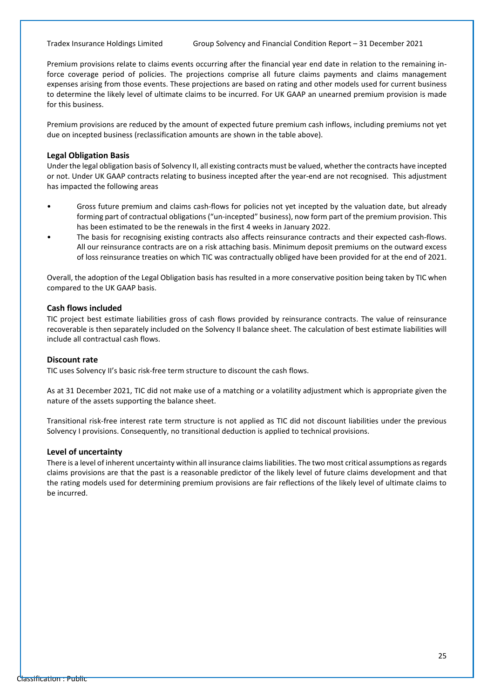Premium provisions relate to claims events occurring after the financial year end date in relation to the remaining inforce coverage period of policies. The projections comprise all future claims payments and claims management expenses arising from those events. These projections are based on rating and other models used for current business to determine the likely level of ultimate claims to be incurred. For UK GAAP an unearned premium provision is made for this business.

Premium provisions are reduced by the amount of expected future premium cash inflows, including premiums not yet due on incepted business (reclassification amounts are shown in the table above).

#### **Legal Obligation Basis**

Under the legal obligation basis of Solvency II, all existing contracts must be valued, whether the contracts have incepted or not. Under UK GAAP contracts relating to business incepted after the year-end are not recognised. This adjustment has impacted the following areas

- Gross future premium and claims cash-flows for policies not yet incepted by the valuation date, but already forming part of contractual obligations ("un-incepted" business), now form part of the premium provision. This has been estimated to be the renewals in the first 4 weeks in January 2022.
- The basis for recognising existing contracts also affects reinsurance contracts and their expected cash-flows. All our reinsurance contracts are on a risk attaching basis. Minimum deposit premiums on the outward excess of loss reinsurance treaties on which TIC was contractually obliged have been provided for at the end of 2021.

Overall, the adoption of the Legal Obligation basis has resulted in a more conservative position being taken by TIC when compared to the UK GAAP basis.

#### **Cash flows included**

TIC project best estimate liabilities gross of cash flows provided by reinsurance contracts. The value of reinsurance recoverable is then separately included on the Solvency II balance sheet. The calculation of best estimate liabilities will include all contractual cash flows.

#### **Discount rate**

TIC uses Solvency II's basic risk-free term structure to discount the cash flows.

As at 31 December 2021, TIC did not make use of a matching or a volatility adjustment which is appropriate given the nature of the assets supporting the balance sheet.

Transitional risk-free interest rate term structure is not applied as TIC did not discount liabilities under the previous Solvency I provisions. Consequently, no transitional deduction is applied to technical provisions.

#### **Level of uncertainty**

There is a level of inherent uncertainty within all insurance claims liabilities. The two most critical assumptions as regards claims provisions are that the past is a reasonable predictor of the likely level of future claims development and that the rating models used for determining premium provisions are fair reflections of the likely level of ultimate claims to be incurred.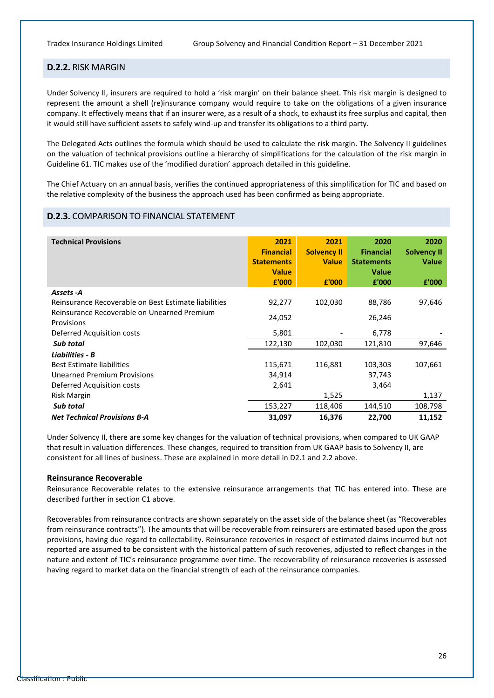#### **D.2.2.** RISK MARGIN

Under Solvency II, insurers are required to hold a 'risk margin' on their balance sheet. This risk margin is designed to represent the amount a shell (re)insurance company would require to take on the obligations of a given insurance company. It effectively means that if an insurer were, as a result of a shock, to exhaust its free surplus and capital, then it would still have sufficient assets to safely wind-up and transfer its obligations to a third party.

The Delegated Acts outlines the formula which should be used to calculate the risk margin. The Solvency II guidelines on the valuation of technical provisions outline a hierarchy of simplifications for the calculation of the risk margin in Guideline 61. TIC makes use of the 'modified duration' approach detailed in this guideline.

The Chief Actuary on an annual basis, verifies the continued appropriateness of this simplification for TIC and based on the relative complexity of the business the approach used has been confirmed as being appropriate.

#### **D.2.3.** COMPARISON TO FINANCIAL STATEMENT

| <b>Technical Provisions</b>                          | 2021              | 2021               | 2020              | 2020               |
|------------------------------------------------------|-------------------|--------------------|-------------------|--------------------|
|                                                      | <b>Financial</b>  | <b>Solvency II</b> | <b>Financial</b>  | <b>Solvency II</b> |
|                                                      | <b>Statements</b> | <b>Value</b>       | <b>Statements</b> | <b>Value</b>       |
|                                                      | <b>Value</b>      |                    | <b>Value</b>      |                    |
|                                                      | £'000             | £'000              | £'000             | £'000              |
| Assets - A                                           |                   |                    |                   |                    |
| Reinsurance Recoverable on Best Estimate liabilities | 92,277            | 102,030            | 88,786            | 97,646             |
| Reinsurance Recoverable on Unearned Premium          | 24,052            |                    | 26,246            |                    |
| Provisions                                           |                   |                    |                   |                    |
| Deferred Acquisition costs                           | 5,801             |                    | 6,778             |                    |
| Sub total                                            | 122,130           | 102,030            | 121,810           | 97,646             |
| <b>Liabilities - B</b>                               |                   |                    |                   |                    |
| <b>Best Estimate liabilities</b>                     | 115,671           | 116,881            | 103,303           | 107,661            |
| <b>Unearned Premium Provisions</b>                   | 34,914            |                    | 37,743            |                    |
| Deferred Acquisition costs                           | 2,641             |                    | 3,464             |                    |
| Risk Margin                                          |                   | 1,525              |                   | 1,137              |
| Sub total                                            | 153,227           | 118,406            | 144,510           | 108,798            |
| <b>Net Technical Provisions B-A</b>                  | 31,097            | 16,376             | 22,700            | 11,152             |

Under Solvency II, there are some key changes for the valuation of technical provisions, when compared to UK GAAP that result in valuation differences. These changes, required to transition from UK GAAP basis to Solvency II, are consistent for all lines of business. These are explained in more detail in D2.1 and 2.2 above.

#### **Reinsurance Recoverable**

Reinsurance Recoverable relates to the extensive reinsurance arrangements that TIC has entered into. These are described further in section C1 above.

<span id="page-27-0"></span>Recoverables from reinsurance contracts are shown separately on the asset side of the balance sheet (as "Recoverables from reinsurance contracts"). The amounts that will be recoverable from reinsurers are estimated based upon the gross provisions, having due regard to collectability. Reinsurance recoveries in respect of estimated claims incurred but not reported are assumed to be consistent with the historical pattern of such recoveries, adjusted to reflect changes in the nature and extent of TIC's reinsurance programme over time. The recoverability of reinsurance recoveries is assessed having regard to market data on the financial strength of each of the reinsurance companies.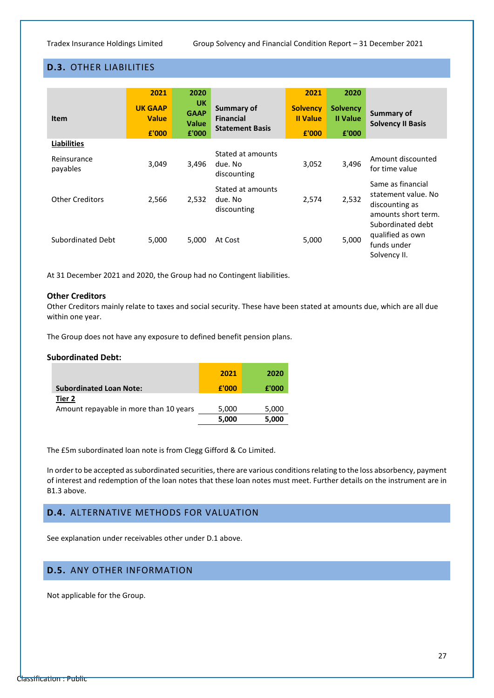### **D.3.** OTHER LIABILITIES

| <b>Item</b>             | 2021<br><b>UK GAAP</b><br><b>Value</b><br>£'000 | 2020<br><b>UK</b><br><b>GAAP</b><br><b>Value</b><br>£'000 | Summary of<br><b>Financial</b><br><b>Statement Basis</b> | 2021<br><b>Solvency</b><br><b>II</b> Value<br>E'000 | 2020<br><b>Solvency</b><br><b>II Value</b><br>£'000 | <b>Summary of</b><br><b>Solvency II Basis</b>                                     |
|-------------------------|-------------------------------------------------|-----------------------------------------------------------|----------------------------------------------------------|-----------------------------------------------------|-----------------------------------------------------|-----------------------------------------------------------------------------------|
| Liabilities             |                                                 |                                                           |                                                          |                                                     |                                                     |                                                                                   |
| Reinsurance<br>payables | 3,049                                           | 3.496                                                     | Stated at amounts<br>due. No<br>discounting              | 3,052                                               | 3,496                                               | Amount discounted<br>for time value                                               |
| <b>Other Creditors</b>  | 2,566                                           | 2,532                                                     | Stated at amounts<br>due. No<br>discounting              | 2,574                                               | 2,532                                               | Same as financial<br>statement value. No<br>discounting as<br>amounts short term. |
| Subordinated Debt       | 5,000                                           | 5,000                                                     | At Cost                                                  | 5,000                                               | 5,000                                               | Subordinated debt<br>qualified as own<br>funds under<br>Solvency II.              |

At 31 December 2021 and 2020, the Group had no Contingent liabilities.

#### **Other Creditors**

Other Creditors mainly relate to taxes and social security. These have been stated at amounts due, which are all due within one year.

The Group does not have any exposure to defined benefit pension plans.

#### **Subordinated Debt:**

|                                                  | 2021  | 2020  |
|--------------------------------------------------|-------|-------|
| <b>Subordinated Loan Note:</b>                   | £'000 | £'000 |
| Tier 2<br>Amount repayable in more than 10 years | 5,000 | 5,000 |
|                                                  | 5,000 | 5,000 |

The £5m subordinated loan note is from Clegg Gifford & Co Limited.

In order to be accepted as subordinated securities, there are various conditions relating to the loss absorbency, payment of interest and redemption of the loan notes that these loan notes must meet. Further details on the instrument are in B1.3 above.

#### <span id="page-28-0"></span>**D.4.** ALTERNATIVE METHODS FOR VALUATION

See explanation under receivables other under D.1 above.

### <span id="page-28-1"></span>**D.5.** ANY OTHER INFORMATION

Not applicable for the Group.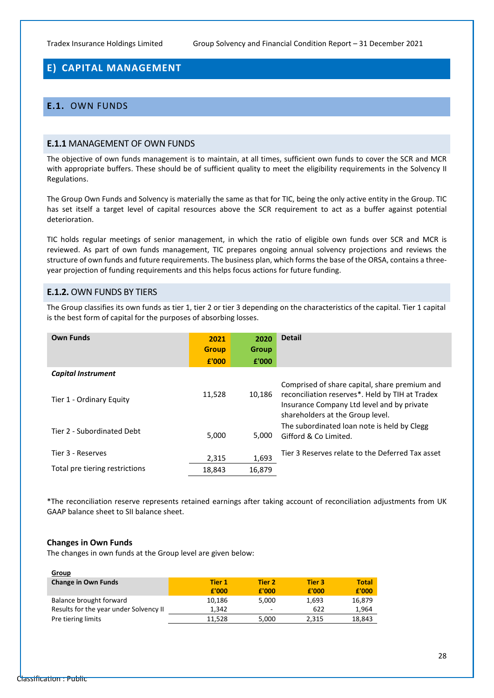### <span id="page-29-0"></span>**E) CAPITAL MANAGEMENT**

### <span id="page-29-1"></span>**E.1.** OWN FUNDS

#### **E.1.1** MANAGEMENT OF OWN FUNDS

The objective of own funds management is to maintain, at all times, sufficient own funds to cover the SCR and MCR with appropriate buffers. These should be of sufficient quality to meet the eligibility requirements in the Solvency II Regulations.

The Group Own Funds and Solvency is materially the same as that for TIC, being the only active entity in the Group. TIC has set itself a target level of capital resources above the SCR requirement to act as a buffer against potential deterioration.

TIC holds regular meetings of senior management, in which the ratio of eligible own funds over SCR and MCR is reviewed. As part of own funds management, TIC prepares ongoing annual solvency projections and reviews the structure of own funds and future requirements. The business plan, which forms the base of the ORSA, contains a threeyear projection of funding requirements and this helps focus actions for future funding.

#### **E.1.2.** OWN FUNDS BY TIERS

The Group classifies its own funds as tier 1, tier 2 or tier 3 depending on the characteristics of the capital. Tier 1 capital is the best form of capital for the purposes of absorbing losses.

| <b>Own Funds</b>               | 2021<br><b>Group</b><br>£'000 | 2020<br><b>Group</b><br>£'000 | <b>Detail</b>                                                                                                                                                                      |
|--------------------------------|-------------------------------|-------------------------------|------------------------------------------------------------------------------------------------------------------------------------------------------------------------------------|
| <b>Capital Instrument</b>      |                               |                               |                                                                                                                                                                                    |
| Tier 1 - Ordinary Equity       | 11,528                        | 10,186                        | Comprised of share capital, share premium and<br>reconciliation reserves*. Held by TIH at Tradex<br>Insurance Company Ltd level and by private<br>shareholders at the Group level. |
| Tier 2 - Subordinated Debt     | 5,000                         | 5,000                         | The subordinated loan note is held by Clegg<br>Gifford & Collimited.                                                                                                               |
| Tier 3 - Reserves              | 2,315                         | 1,693                         | Tier 3 Reserves relate to the Deferred Tax asset                                                                                                                                   |
| Total pre tiering restrictions | 18.843                        | 16.879                        |                                                                                                                                                                                    |

\*The reconciliation reserve represents retained earnings after taking account of reconciliation adjustments from UK GAAP balance sheet to SII balance sheet.

#### **Changes in Own Funds**

The changes in own funds at the Group level are given below:

| Group                                  |        |        |        |              |
|----------------------------------------|--------|--------|--------|--------------|
| <b>Change in Own Funds</b>             | Tier 1 | Tier 2 | Tier 3 | <b>Total</b> |
|                                        | £'000  | £'000  | £'000  | £'000        |
| Balance brought forward                | 10,186 | 5,000  | 1.693  | 16,879       |
| Results for the year under Solvency II | 1.342  | -      | 622    | 1.964        |
| Pre tiering limits                     | 11.528 | 5,000  | 2.315  | 18,843       |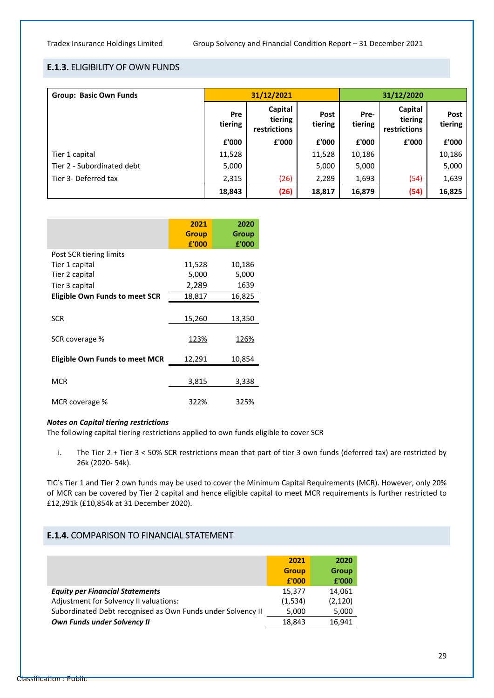#### **E.1.3.** ELIGIBILITY OF OWN FUNDS

| <b>Group: Basic Own Funds</b> | 31/12/2021     |                                    |                 | 31/12/2020      |                                    |                 |
|-------------------------------|----------------|------------------------------------|-----------------|-----------------|------------------------------------|-----------------|
|                               | Pre<br>tiering | Capital<br>tiering<br>restrictions | Post<br>tiering | Pre-<br>tiering | Capital<br>tiering<br>restrictions | Post<br>tiering |
|                               | £'000          | £'000                              | £'000           | £'000           | £'000                              | £'000           |
| Tier 1 capital                | 11,528         |                                    | 11,528          | 10,186          |                                    | 10,186          |
| Tier 2 - Subordinated debt    | 5,000          |                                    | 5,000           | 5,000           |                                    | 5,000           |
| Tier 3- Deferred tax          | 2,315          | (26)                               | 2,289           | 1,693           | (54)                               | 1,639           |
|                               | 18,843         | (26)                               | 18,817          | 16,879          | (54)                               | 16,825          |

|                                       | 2021<br><b>Group</b><br>£'000 | 2020<br>Group<br>£'000 |
|---------------------------------------|-------------------------------|------------------------|
| Post SCR tiering limits               |                               |                        |
| Tier 1 capital                        | 11,528                        | 10,186                 |
| Tier 2 capital                        | 5,000                         | 5,000                  |
| Tier 3 capital                        | 2,289                         | 1639                   |
| <b>Eligible Own Funds to meet SCR</b> | 18,817                        | 16,825                 |
| SCR                                   | 15,260                        | 13,350                 |
| SCR coverage %                        | 123%                          | 126%                   |
| <b>Eligible Own Funds to meet MCR</b> | 12,291                        | 10,854                 |
| <b>MCR</b>                            | 3,815                         | 3,338                  |
| MCR coverage %                        | 322%                          | 325%                   |

#### *Notes on Capital tiering restrictions*

The following capital tiering restrictions applied to own funds eligible to cover SCR

i. The Tier 2 + Tier 3 < 50% SCR restrictions mean that part of tier 3 own funds (deferred tax) are restricted by 26k (2020- 54k).

TIC's Tier 1 and Tier 2 own funds may be used to cover the Minimum Capital Requirements (MCR). However, only 20% of MCR can be covered by Tier 2 capital and hence eligible capital to meet MCR requirements is further restricted to £12,291k (£10,854k at 31 December 2020).

#### **E.1.4.** COMPARISON TO FINANCIAL STATEMENT

|                                                             | 2021<br><b>Group</b><br>£'000 | 2020<br>Group<br>£'000 |
|-------------------------------------------------------------|-------------------------------|------------------------|
| <b>Equity per Financial Statements</b>                      | 15.377                        | 14,061                 |
| Adjustment for Solvency II valuations:                      | (1,534)                       | (2, 120)               |
| Subordinated Debt recognised as Own Funds under Solvency II | 5,000                         | 5,000                  |
| Own Funds under Solvency II                                 | 18.843                        | 16.941                 |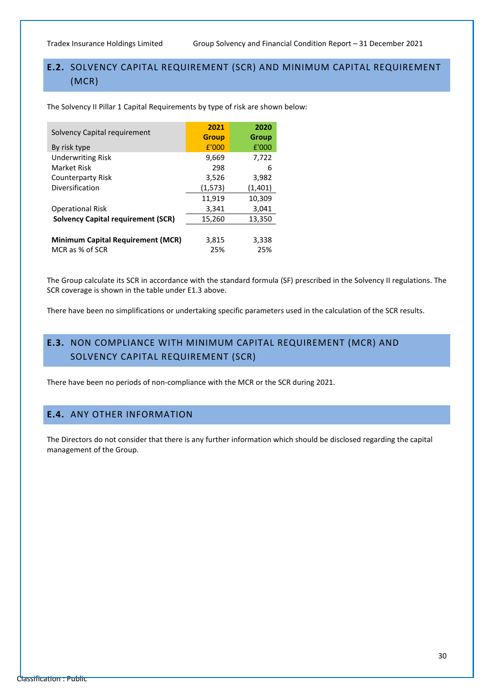### <span id="page-31-0"></span>**E.2.** SOLVENCY CAPITAL REQUIREMENT (SCR) AND MINIMUM CAPITAL REQUIREMENT (MCR)

The Solvency II Pillar 1 Capital Requirements by type of risk are shown below:

| Solvency Capital requirement              | 2021         | 2020    |
|-------------------------------------------|--------------|---------|
|                                           | <b>Group</b> | Group   |
| By risk type                              | E'000        | £'000   |
| <b>Underwriting Risk</b>                  | 9,669        | 7,722   |
| Market Risk                               | 298          | 6       |
| <b>Counterparty Risk</b>                  | 3,526        | 3,982   |
| Diversification                           | (1,573)      | (1,401) |
|                                           | 11,919       | 10,309  |
| <b>Operational Risk</b>                   | 3,341        | 3,041   |
| <b>Solvency Capital requirement (SCR)</b> | 15,260       | 13,350  |
|                                           |              |         |
| <b>Minimum Capital Requirement (MCR)</b>  | 3,815        | 3,338   |
| MCR as % of SCR                           | 25%          | 25%     |

The Group calculate its SCR in accordance with the standard formula (SF) prescribed in the Solvency II regulations. The SCR coverage is shown in the table under E1.3 above.

There have been no simplifications or undertaking specific parameters used in the calculation of the SCR results.

### <span id="page-31-1"></span>**E.3.** NON COMPLIANCE WITH MINIMUM CAPITAL REQUIREMENT (MCR) AND SOLVENCY CAPITAL REQUIREMENT (SCR)

There have been no periods of non-compliance with the MCR or the SCR during 2021.

### <span id="page-31-2"></span>**E.4.** ANY OTHER INFORMATION

The Directors do not consider that there is any further information which should be disclosed regarding the capital management of the Group.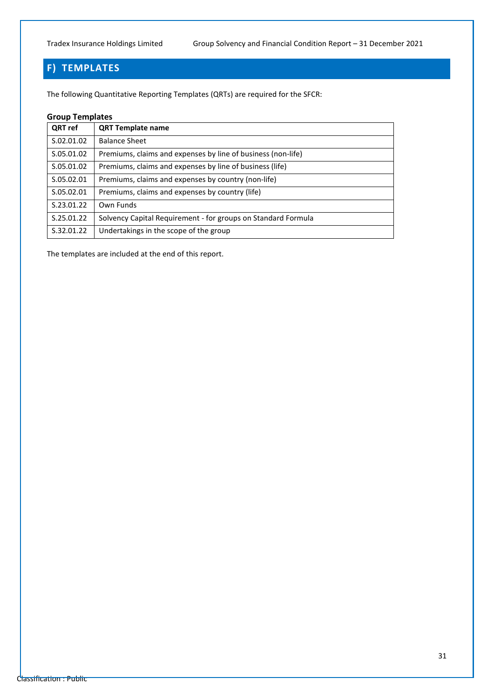## <span id="page-32-0"></span>**F) TEMPLATES**

The following Quantitative Reporting Templates (QRTs) are required for the SFCR:

#### **Group Templates**

| QRT ref    | <b>QRT Template name</b>                                      |
|------------|---------------------------------------------------------------|
| S.02.01.02 | <b>Balance Sheet</b>                                          |
| S.05.01.02 | Premiums, claims and expenses by line of business (non-life)  |
| S.05.01.02 | Premiums, claims and expenses by line of business (life)      |
| S.05.02.01 | Premiums, claims and expenses by country (non-life)           |
| S.05.02.01 | Premiums, claims and expenses by country (life)               |
| S.23.01.22 | Own Funds                                                     |
| S.25.01.22 | Solvency Capital Requirement - for groups on Standard Formula |
| S.32.01.22 | Undertakings in the scope of the group                        |

The templates are included at the end of this report.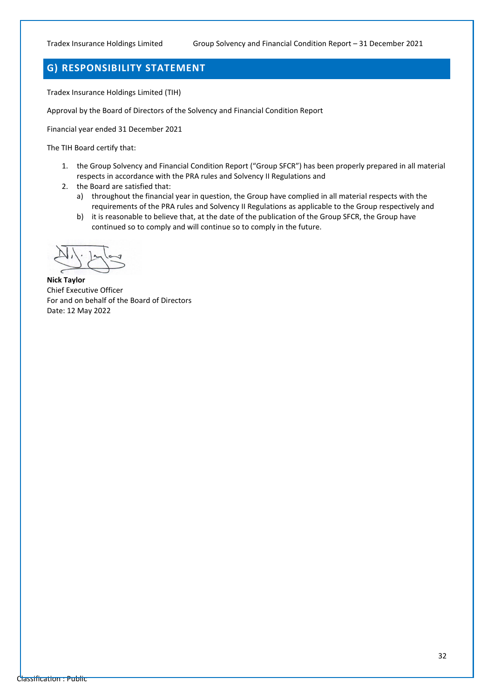### <span id="page-33-0"></span>**G) RESPONSIBILITY STATEMENT**

Tradex Insurance Holdings Limited (TIH)

Approval by the Board of Directors of the Solvency and Financial Condition Report

Financial year ended 31 December 2021

The TIH Board certify that:

- 1. the Group Solvency and Financial Condition Report ("Group SFCR") has been properly prepared in all material respects in accordance with the PRA rules and Solvency II Regulations and
- 2. the Board are satisfied that:
	- a) throughout the financial year in question, the Group have complied in all material respects with the requirements of the PRA rules and Solvency II Regulations as applicable to the Group respectively and
	- b) it is reasonable to believe that, at the date of the publication of the Group SFCR, the Group have continued so to comply and will continue so to comply in the future.

**Nick Taylor** Chief Executive Officer For and on behalf of the Board of Directors Date: 12 May 2022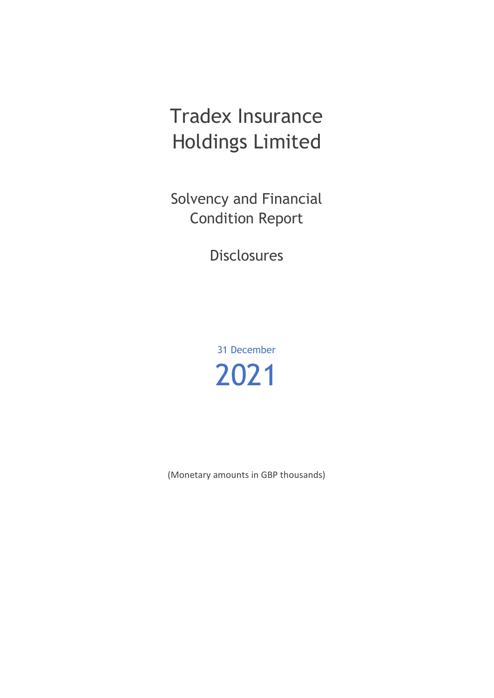# Tradex Insurance Holdings Limited

Solvency and Financial Condition Report

Disclosures

31 December 2021

(Monetary amounts in GBP thousands)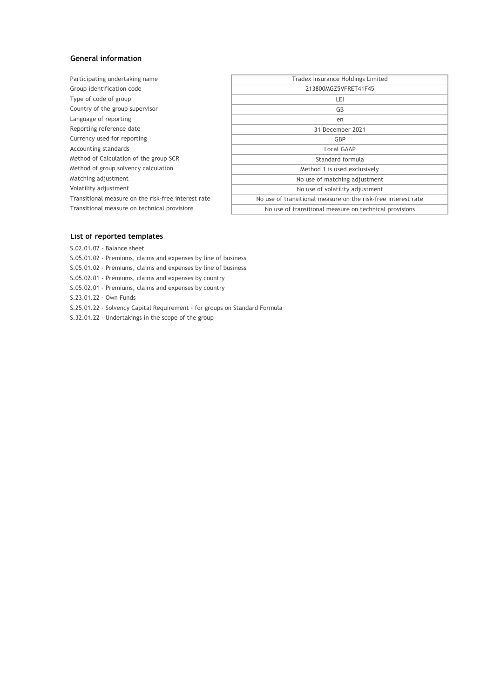#### **General information**

| Participating undertaking name                      | Tradex Insurance Holdings Limited                             |
|-----------------------------------------------------|---------------------------------------------------------------|
| Group identification code                           | 213800MGZ5VFRET41F45                                          |
| Type of code of group                               | LEI                                                           |
| Country of the group supervisor                     | GB                                                            |
| Language of reporting                               | en                                                            |
| Reporting reference date                            | 31 December 2021                                              |
| Currency used for reporting                         | GBP                                                           |
| Accounting standards                                | Local GAAP                                                    |
| Method of Calculation of the group SCR              | Standard formula                                              |
| Method of group solvency calculation                | Method 1 is used exclusively                                  |
| Matching adjustment                                 | No use of matching adjustment                                 |
| Volatility adjustment                               | No use of volatility adjustment                               |
| Transitional measure on the risk-free interest rate | No use of transitional measure on the risk-free interest rate |
| Transitional measure on technical provisions        | No use of transitional measure on technical provisions        |
|                                                     |                                                               |

#### **List of reported templates**

- S.02.01.02 Balance sheet
- S.05.01.02 Premiums, claims and expenses by line of business
- S.05.01.02 Premiums, claims and expenses by line of business
- S.05.02.01 Premiums, claims and expenses by country
- S.05.02.01 Premiums, claims and expenses by country
- S.23.01.22 Own Funds
- S.25.01.22 Solvency Capital Requirement for groups on Standard Formula
- S.32.01.22 Undertakings in the scope of the group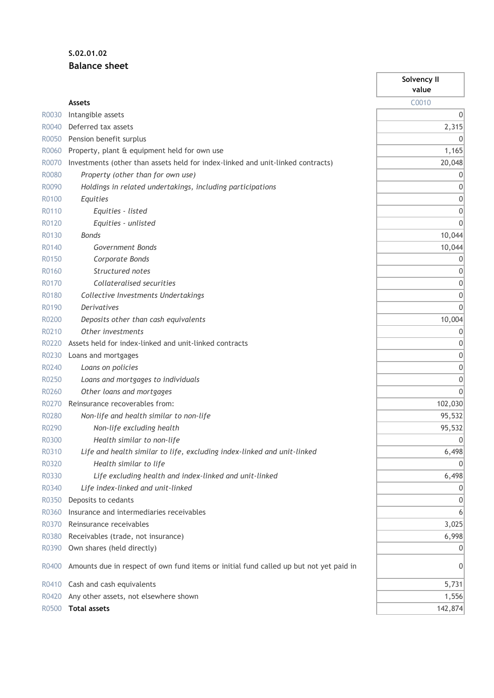### **S.02.01.02 Balance sheet**

|       |                                                                                        | Solvency II<br>value |
|-------|----------------------------------------------------------------------------------------|----------------------|
|       | <b>Assets</b>                                                                          | C0010                |
| R0030 | Intangible assets                                                                      | 0                    |
| R0040 | Deferred tax assets                                                                    | 2,315                |
| R0050 | Pension benefit surplus                                                                | 0                    |
| R0060 | Property, plant & equipment held for own use                                           | 1,165                |
| R0070 | Investments (other than assets held for index-linked and unit-linked contracts)        | 20,048               |
| R0080 | Property (other than for own use)                                                      | 0                    |
| R0090 | Holdings in related undertakings, including participations                             | 0                    |
| R0100 | Equities                                                                               | 0                    |
| R0110 | Equities - listed                                                                      | 0                    |
| R0120 | Equities - unlisted                                                                    | $\mathbf{0}$         |
| R0130 | <b>Bonds</b>                                                                           | 10,044               |
| R0140 | Government Bonds                                                                       | 10,044               |
| R0150 | Corporate Bonds                                                                        | 0                    |
| R0160 | Structured notes                                                                       | 0                    |
| R0170 | Collateralised securities                                                              | 0                    |
| R0180 | Collective Investments Undertakings                                                    | 0                    |
| R0190 | <b>Derivatives</b>                                                                     | $\mathbf{0}$         |
| R0200 | Deposits other than cash equivalents                                                   | 10,004               |
| R0210 | Other investments                                                                      | 0                    |
| R0220 | Assets held for index-linked and unit-linked contracts                                 | 0                    |
| R0230 | Loans and mortgages                                                                    | 0                    |
| R0240 | Loans on policies                                                                      | 0                    |
| R0250 | Loans and mortgages to individuals                                                     | 0                    |
| R0260 | Other loans and mortgages                                                              | 0                    |
| R0270 | Reinsurance recoverables from:                                                         | 102,030              |
| R0280 | Non-life and health similar to non-life                                                | 95,532               |
| R0290 | Non-life excluding health                                                              | 95,532               |
| R0300 | Health similar to non-life                                                             | 0                    |
| R0310 | Life and health similar to life, excluding index-linked and unit-linked                | 6,498                |
| R0320 | Health similar to life                                                                 | 0                    |
| R0330 | Life excluding health and index-linked and unit-linked                                 | 6,498                |
| R0340 | Life index-linked and unit-linked                                                      | 0                    |
| R0350 | Deposits to cedants                                                                    | 0                    |
| R0360 | Insurance and intermediaries receivables                                               | 6                    |
| R0370 | Reinsurance receivables                                                                | 3,025                |
| R0380 | Receivables (trade, not insurance)                                                     | 6,998                |
| R0390 | Own shares (held directly)                                                             | 0                    |
| R0400 | Amounts due in respect of own fund items or initial fund called up but not yet paid in | 0                    |
| R0410 | Cash and cash equivalents                                                              | 5,731                |
| R0420 | Any other assets, not elsewhere shown                                                  | 1,556                |
| R0500 | <b>Total assets</b>                                                                    | 142,874              |

ī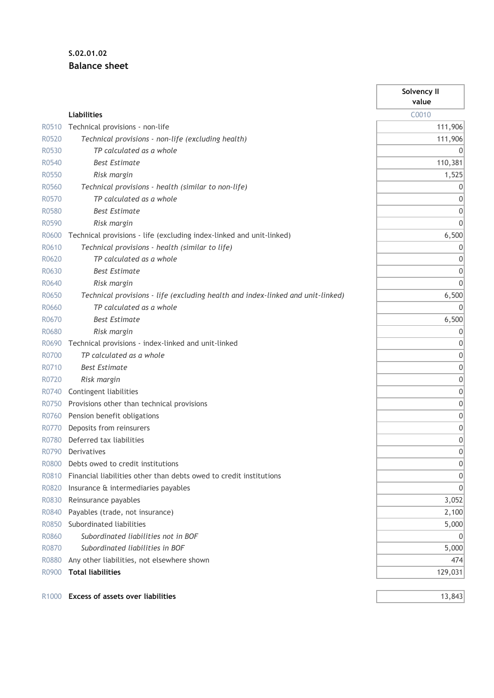### **S.02.01.02 Balance sheet**

|                   |                                                                                 | Solvency II<br>value |
|-------------------|---------------------------------------------------------------------------------|----------------------|
|                   | <b>Liabilities</b>                                                              | C0010                |
| R0510             | Technical provisions - non-life                                                 | 111,906              |
| R0520             | Technical provisions - non-life (excluding health)                              | 111,906              |
| R0530             | TP calculated as a whole                                                        | 0                    |
| R0540             | <b>Best Estimate</b>                                                            | 110,381              |
| R0550             | Risk margin                                                                     | 1,525                |
| R0560             | Technical provisions - health (similar to non-life)                             | 0                    |
| R0570             | TP calculated as a whole                                                        | 0                    |
| R0580             | <b>Best Estimate</b>                                                            | 0                    |
| R0590             | Risk margin                                                                     | 0                    |
| R0600             | Technical provisions - life (excluding index-linked and unit-linked)            | 6,500                |
| R0610             | Technical provisions - health (similar to life)                                 | 0                    |
| R0620             | TP calculated as a whole                                                        | 0                    |
| R0630             | <b>Best Estimate</b>                                                            | 0                    |
| R0640             | Risk margin                                                                     | $\Omega$             |
| R0650             | Technical provisions - life (excluding health and index-linked and unit-linked) | 6,500                |
| R0660             | TP calculated as a whole                                                        | 0                    |
| R0670             | <b>Best Estimate</b>                                                            | 6,500                |
| R0680             | Risk margin                                                                     | 0                    |
| R0690             | Technical provisions - index-linked and unit-linked                             | 0                    |
| R0700             | TP calculated as a whole                                                        | 0                    |
| R0710             | <b>Best Estimate</b>                                                            | 0                    |
| R0720             | Risk margin                                                                     | 0                    |
| R0740             | Contingent liabilities                                                          | 0                    |
| R0750             | Provisions other than technical provisions                                      | 0                    |
| R0760             | Pension benefit obligations                                                     | 0                    |
| R0770             | Deposits from reinsurers                                                        | $\mathbf 0$          |
| R0780             | Deferred tax liabilities                                                        | 0                    |
| R0790             | Derivatives                                                                     | $\mathbf{0}$         |
| R0800             | Debts owed to credit institutions                                               | 0                    |
| R0810             | Financial liabilities other than debts owed to credit institutions              | 0                    |
| R0820             | Insurance & intermediaries payables                                             | 0                    |
| R0830             | Reinsurance payables                                                            | 3,052                |
| R0840             | Payables (trade, not insurance)                                                 | 2,100                |
| R0850             | Subordinated liabilities                                                        | 5,000                |
| R0860             | Subordinated liabilities not in BOF                                             |                      |
| R0870             | Subordinated liabilities in BOF                                                 | 5,000                |
| R0880             | Any other liabilities, not elsewhere shown                                      | 474                  |
| R0900             | <b>Total liabilities</b>                                                        | 129,031              |
| R <sub>1000</sub> | <b>Excess of assets over liabilities</b>                                        | 13,843               |

Ŷ.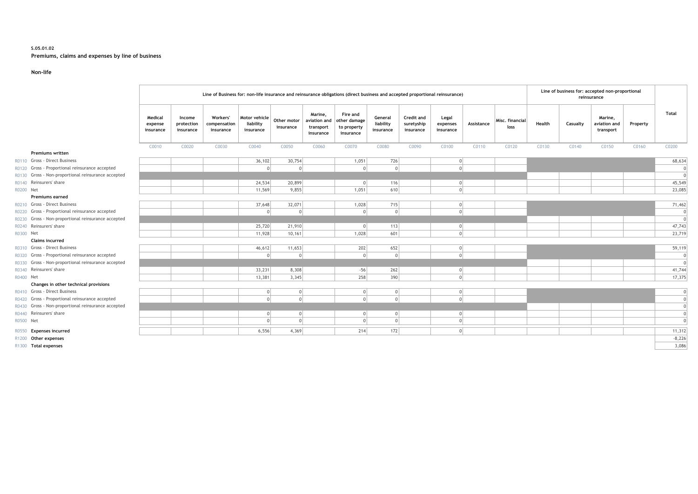#### **S.05.01.02 Premiums, claims and expenses by line of business**

#### **Non-life**

|           |                                                     | Line of Business for: non-life insurance and reinsurance obligations (direct business and accepted proportional reinsurance) |                                   |                                       |                                         |                          |                                                   |                                                      |                                   | Line of business for: accepted non-proportional<br>reinsurance |                                |            |                         |        |          |                                      |          |                |
|-----------|-----------------------------------------------------|------------------------------------------------------------------------------------------------------------------------------|-----------------------------------|---------------------------------------|-----------------------------------------|--------------------------|---------------------------------------------------|------------------------------------------------------|-----------------------------------|----------------------------------------------------------------|--------------------------------|------------|-------------------------|--------|----------|--------------------------------------|----------|----------------|
|           |                                                     | Medical<br>expense<br>insurance                                                                                              | Income<br>protection<br>insurance | Workers'<br>compensation<br>insurance | Motor vehicle<br>liability<br>insurance | Other motor<br>insurance | Marine,<br>aviation and<br>transport<br>insurance | Fire and<br>other damage<br>to property<br>insurance | General<br>liability<br>insurance | Credit and<br>suretyship<br>insurance                          | Legal<br>expenses<br>insurance | Assistance | Misc. financial<br>loss | Health | Casualty | Marine,<br>aviation and<br>transport | Property | Total          |
|           |                                                     | C0010                                                                                                                        | C0020                             | C0030                                 | C0040                                   | C0050                    | C0060                                             | C0070                                                | C0080                             | C0090                                                          | C0100                          | C0110      | C0120                   | C0130  | C0140    | C0150                                | C0160    | C0200          |
|           | <b>Premiums written</b>                             |                                                                                                                              |                                   |                                       |                                         |                          |                                                   |                                                      |                                   |                                                                |                                |            |                         |        |          |                                      |          |                |
|           | R0110 Gross - Direct Business                       |                                                                                                                              |                                   |                                       | 36, 102                                 | 30,754                   |                                                   | 1,051                                                | 726                               |                                                                | $\Omega$                       |            |                         |        |          |                                      |          | 68,634         |
|           | R0120 Gross - Proportional reinsurance accepted     |                                                                                                                              |                                   |                                       | $\Omega$                                | $\Omega$                 |                                                   |                                                      | $\Omega$                          |                                                                | $\Omega$                       |            |                         |        |          |                                      |          | $\Omega$       |
|           | R0130 Gross - Non-proportional reinsurance accepted |                                                                                                                              |                                   |                                       |                                         |                          |                                                   |                                                      |                                   |                                                                |                                |            |                         |        |          |                                      |          |                |
|           | R0140 Reinsurers' share                             |                                                                                                                              |                                   |                                       | 24,534                                  | 20,899                   |                                                   | $\Omega$                                             | 116                               |                                                                | $\Omega$                       |            |                         |        |          |                                      |          | 45,549         |
| R0200 Net |                                                     |                                                                                                                              |                                   |                                       | 11,569                                  | 9,855                    |                                                   | 1,051                                                | 610                               |                                                                | $\Omega$                       |            |                         |        |          |                                      |          | 23,085         |
|           | <b>Premiums earned</b>                              |                                                                                                                              |                                   |                                       |                                         |                          |                                                   |                                                      |                                   |                                                                |                                |            |                         |        |          |                                      |          |                |
|           | R0210 Gross - Direct Business                       |                                                                                                                              |                                   |                                       | 37,648                                  | 32,071                   |                                                   | 1,028                                                | 715                               |                                                                | $\Omega$                       |            |                         |        |          |                                      |          | 71,462         |
|           | R0220 Gross - Proportional reinsurance accepted     |                                                                                                                              |                                   |                                       | $\Omega$                                | $\Omega$                 |                                                   | $\cap$                                               | $\Omega$                          |                                                                | $\Omega$                       |            |                         |        |          |                                      |          | $\Omega$       |
|           | R0230 Gross - Non-proportional reinsurance accepted |                                                                                                                              |                                   |                                       |                                         |                          |                                                   |                                                      |                                   |                                                                |                                |            |                         |        |          |                                      |          | $\Omega$       |
|           | R0240 Reinsurers' share                             |                                                                                                                              |                                   |                                       | 25,720                                  | 21,910                   |                                                   | $\Omega$                                             | 113                               |                                                                | 0                              |            |                         |        |          |                                      |          | 47,743         |
| R0300 Net |                                                     |                                                                                                                              |                                   |                                       | 11,928                                  | 10,161                   |                                                   | 1,028                                                | 601                               |                                                                | $\Omega$                       |            |                         |        |          |                                      |          | 23,719         |
|           | <b>Claims incurred</b>                              |                                                                                                                              |                                   |                                       |                                         |                          |                                                   |                                                      |                                   |                                                                |                                |            |                         |        |          |                                      |          |                |
|           | R0310 Gross - Direct Business                       |                                                                                                                              |                                   |                                       | 46,612                                  | 11,653                   |                                                   | 202                                                  | 652                               |                                                                | $\Omega$                       |            |                         |        |          |                                      |          | 59,119         |
|           | R0320 Gross - Proportional reinsurance accepted     |                                                                                                                              |                                   |                                       | $\Omega$                                | $\Omega$                 |                                                   |                                                      | $\Omega$                          |                                                                | $\Omega$                       |            |                         |        |          |                                      |          | $\Omega$       |
|           | R0330 Gross - Non-proportional reinsurance accepted |                                                                                                                              |                                   |                                       |                                         |                          |                                                   |                                                      |                                   |                                                                |                                |            |                         |        |          |                                      |          | $\Omega$       |
|           | R0340 Reinsurers' share                             |                                                                                                                              |                                   |                                       | 33,231                                  | 8,308                    |                                                   | $-56$                                                | 262                               |                                                                | $\Omega$                       |            |                         |        |          |                                      |          | 41,744         |
| R0400 Net |                                                     |                                                                                                                              |                                   |                                       | 13,381                                  | 3,345                    |                                                   | 258                                                  | 390                               |                                                                | $\Omega$                       |            |                         |        |          |                                      |          | 17,375         |
|           | Changes in other technical provisions               |                                                                                                                              |                                   |                                       |                                         |                          |                                                   |                                                      |                                   |                                                                |                                |            |                         |        |          |                                      |          |                |
|           | R0410 Gross - Direct Business                       |                                                                                                                              |                                   |                                       | 0                                       | 0                        |                                                   |                                                      | 0                                 |                                                                | 0                              |            |                         |        |          |                                      |          | $\overline{0}$ |
|           | R0420 Gross - Proportional reinsurance accepted     |                                                                                                                              |                                   |                                       | $\Omega$                                | $\Omega$                 |                                                   |                                                      | $\Omega$                          |                                                                | $\Omega$                       |            |                         |        |          |                                      |          | 0              |
|           | R0430 Gross - Non-proportional reinsurance accepted |                                                                                                                              |                                   |                                       |                                         |                          |                                                   |                                                      |                                   |                                                                |                                |            |                         |        |          |                                      |          | $\Omega$       |
|           | R0440 Reinsurers' share                             |                                                                                                                              |                                   |                                       | $\overline{0}$                          | $\Omega$                 |                                                   |                                                      | $\overline{0}$                    |                                                                | $\Omega$                       |            |                         |        |          |                                      |          |                |
| R0500 Net |                                                     |                                                                                                                              |                                   |                                       | $\Omega$                                | $\Omega$                 |                                                   |                                                      | $\overline{0}$                    |                                                                | $\Omega$                       |            |                         |        |          |                                      |          | $\Omega$       |
|           | R0550 Expenses incurred                             |                                                                                                                              |                                   |                                       | 6,556                                   | 4,369                    |                                                   | 214                                                  | 172                               |                                                                | 0                              |            |                         |        |          |                                      |          | 11,312         |
|           | R1200 Other expenses                                |                                                                                                                              |                                   |                                       |                                         |                          |                                                   |                                                      |                                   |                                                                |                                |            |                         |        |          |                                      |          | $-8,226$       |
|           | R1300 Total expenses                                |                                                                                                                              |                                   |                                       |                                         |                          |                                                   |                                                      |                                   |                                                                |                                |            |                         |        |          |                                      |          | 3,086          |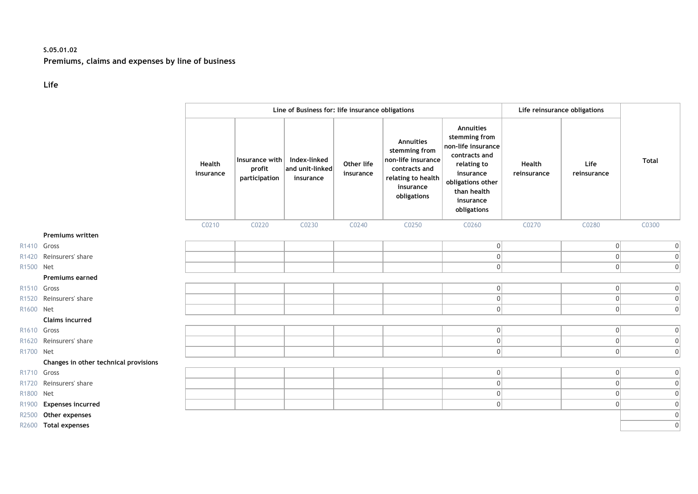### **S.05.01.02 Premiums, claims and expenses by line of business**

### **Life**

|                         |                                       |                     |                                           | Line of Business for: life insurance obligations     |                         |                                                                                                                     |                                                                                                                                                               |                       | Life reinsurance obligations |                |
|-------------------------|---------------------------------------|---------------------|-------------------------------------------|------------------------------------------------------|-------------------------|---------------------------------------------------------------------------------------------------------------------|---------------------------------------------------------------------------------------------------------------------------------------------------------------|-----------------------|------------------------------|----------------|
|                         |                                       | Health<br>insurance | Insurance with<br>profit<br>participation | Index-linked<br>$ $ and unit-linked $ $<br>insurance | Other life<br>insurance | Annuities<br>stemming from<br>non-life insurance<br>contracts and<br>relating to health<br>insurance<br>obligations | Annuities<br>stemming from<br>non-life insurance<br>contracts and<br>relating to<br>insurance<br>obligations other<br>than health<br>insurance<br>obligations | Health<br>reinsurance | Life<br>reinsurance          | <b>Total</b>   |
|                         |                                       | C0210               | C0220                                     | C0230                                                | C0240                   | C0250                                                                                                               | C0260                                                                                                                                                         | C0270                 | C0280                        | C0300          |
|                         | <b>Premiums written</b>               |                     |                                           |                                                      |                         |                                                                                                                     |                                                                                                                                                               |                       |                              |                |
| R1410 Gross             |                                       |                     |                                           |                                                      |                         |                                                                                                                     | 0                                                                                                                                                             |                       | $\overline{0}$               | $\overline{0}$ |
|                         | R1420 Reinsurers' share               |                     |                                           |                                                      |                         |                                                                                                                     | $\boldsymbol{0}$                                                                                                                                              |                       | $\mathbf{0}$                 | 0              |
| R1500 Net               |                                       |                     |                                           |                                                      |                         |                                                                                                                     | 0                                                                                                                                                             |                       | $\overline{0}$               | 0              |
|                         | <b>Premiums earned</b>                |                     |                                           |                                                      |                         |                                                                                                                     |                                                                                                                                                               |                       |                              |                |
| R <sub>1510</sub> Gross |                                       |                     |                                           |                                                      |                         |                                                                                                                     | 0                                                                                                                                                             |                       | $\overline{0}$               | 0              |
|                         | R1520 Reinsurers' share               |                     |                                           |                                                      |                         |                                                                                                                     | 0                                                                                                                                                             |                       | 0                            | 0              |
| R1600 Net               |                                       |                     |                                           |                                                      |                         |                                                                                                                     | 0                                                                                                                                                             |                       | $\overline{0}$               | 0              |
|                         | <b>Claims incurred</b>                |                     |                                           |                                                      |                         |                                                                                                                     |                                                                                                                                                               |                       |                              |                |
| R1610 Gross             |                                       |                     |                                           |                                                      |                         |                                                                                                                     | 0                                                                                                                                                             |                       | $\overline{0}$               | 0              |
|                         | R1620 Reinsurers' share               |                     |                                           |                                                      |                         |                                                                                                                     | 0                                                                                                                                                             |                       | $\overline{0}$               | $\overline{0}$ |
| R1700 Net               |                                       |                     |                                           |                                                      |                         |                                                                                                                     | 0                                                                                                                                                             |                       | $\overline{0}$               | $\overline{0}$ |
|                         | Changes in other technical provisions |                     |                                           |                                                      |                         |                                                                                                                     |                                                                                                                                                               |                       |                              |                |
| R1710 Gross             |                                       |                     |                                           |                                                      |                         |                                                                                                                     | 0                                                                                                                                                             |                       | $\overline{0}$               | 0              |
|                         | R1720 Reinsurers' share               |                     |                                           |                                                      |                         |                                                                                                                     | 0                                                                                                                                                             |                       | 0                            | $\overline{0}$ |
| R1800 Net               |                                       |                     |                                           |                                                      |                         |                                                                                                                     | 0                                                                                                                                                             |                       | $\overline{0}$               | $\overline{0}$ |
| R1900                   | <b>Expenses incurred</b>              |                     |                                           |                                                      |                         |                                                                                                                     | 0                                                                                                                                                             |                       | 0                            | $\mathbf 0$    |
| R2500                   | Other expenses                        |                     |                                           |                                                      |                         |                                                                                                                     |                                                                                                                                                               |                       |                              | $\overline{0}$ |
|                         | R2600 Total expenses                  |                     |                                           |                                                      |                         |                                                                                                                     |                                                                                                                                                               |                       |                              | $\mathbf 0$    |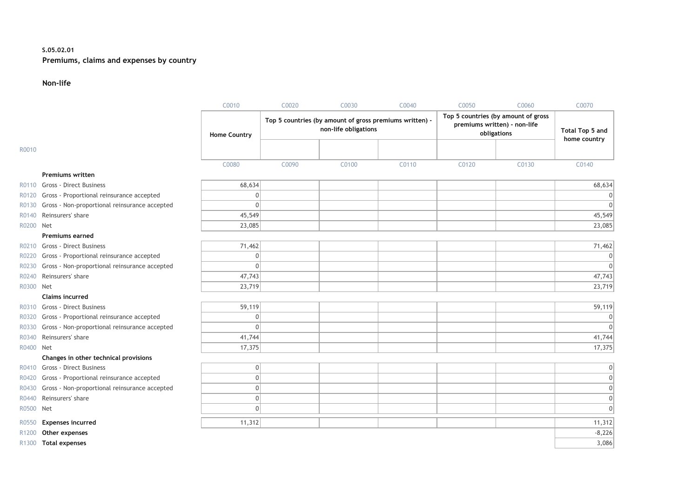#### **S.05.02.01 Premiums, claims and expenses by country**

#### **Non-life**

|                   |                                               | C0010               | C0020 | C0030                                                                           | C0040 | C0050                                                                              | C0060 | C0070                           |
|-------------------|-----------------------------------------------|---------------------|-------|---------------------------------------------------------------------------------|-------|------------------------------------------------------------------------------------|-------|---------------------------------|
|                   |                                               | <b>Home Country</b> |       | Top 5 countries (by amount of gross premiums written) -<br>non-life obligations |       | Top 5 countries (by amount of gross<br>premiums written) - non-life<br>obligations |       | Total Top 5 and<br>home country |
| R0010             |                                               |                     |       |                                                                                 |       |                                                                                    |       |                                 |
|                   |                                               | C0080               | C0090 | C0100                                                                           | C0110 | C0120                                                                              | C0130 | C0140                           |
|                   | <b>Premiums written</b>                       |                     |       |                                                                                 |       |                                                                                    |       |                                 |
|                   | R0110 Gross - Direct Business                 | 68,634              |       |                                                                                 |       |                                                                                    |       | 68,634                          |
| R0120             | Gross - Proportional reinsurance accepted     | $\mathbf{0}$        |       |                                                                                 |       |                                                                                    |       |                                 |
| R0130             | Gross - Non-proportional reinsurance accepted | $\mathbf 0$         |       |                                                                                 |       |                                                                                    |       |                                 |
| R0140             | Reinsurers' share                             | 45,549              |       |                                                                                 |       |                                                                                    |       | 45,549                          |
| R0200 Net         |                                               | 23,085              |       |                                                                                 |       |                                                                                    |       | 23,085                          |
|                   | <b>Premiums earned</b>                        |                     |       |                                                                                 |       |                                                                                    |       |                                 |
|                   | R0210 Gross - Direct Business                 | 71,462              |       |                                                                                 |       |                                                                                    |       | 71,462                          |
| R0220             | Gross - Proportional reinsurance accepted     | $\mathbf 0$         |       |                                                                                 |       |                                                                                    |       |                                 |
| R0230             | Gross - Non-proportional reinsurance accepted | $\mathbf 0$         |       |                                                                                 |       |                                                                                    |       |                                 |
| R0240             | Reinsurers' share                             | 47,743              |       |                                                                                 |       |                                                                                    |       | 47,743                          |
| R0300 Net         |                                               | 23,719              |       |                                                                                 |       |                                                                                    |       | 23,719                          |
|                   | <b>Claims incurred</b>                        |                     |       |                                                                                 |       |                                                                                    |       |                                 |
|                   | R0310 Gross - Direct Business                 | 59,119              |       |                                                                                 |       |                                                                                    |       | 59,119                          |
| R0320             | Gross - Proportional reinsurance accepted     | $\mathbf 0$         |       |                                                                                 |       |                                                                                    |       |                                 |
| R0330             | Gross - Non-proportional reinsurance accepted | $\mathbf 0$         |       |                                                                                 |       |                                                                                    |       |                                 |
| R0340             | Reinsurers' share                             | 41,744              |       |                                                                                 |       |                                                                                    |       | 41,744                          |
| R0400 Net         |                                               | 17,375              |       |                                                                                 |       |                                                                                    |       | 17,375                          |
|                   | Changes in other technical provisions         |                     |       |                                                                                 |       |                                                                                    |       |                                 |
|                   | R0410 Gross - Direct Business                 | $\mathbf 0$         |       |                                                                                 |       |                                                                                    |       |                                 |
| R0420             | Gross - Proportional reinsurance accepted     | $\mathbf 0$         |       |                                                                                 |       |                                                                                    |       |                                 |
| R0430             | Gross - Non-proportional reinsurance accepted | $\mathbf{0}$        |       |                                                                                 |       |                                                                                    |       |                                 |
| R0440             | Reinsurers' share                             | $\mathbf 0$         |       |                                                                                 |       |                                                                                    |       |                                 |
| R0500 Net         |                                               | $\mathbf 0$         |       |                                                                                 |       |                                                                                    |       | $\Omega$                        |
| R0550             | <b>Expenses incurred</b>                      | 11,312              |       |                                                                                 |       |                                                                                    |       | 11,312                          |
| R <sub>1200</sub> | Other expenses                                |                     |       |                                                                                 |       |                                                                                    |       | $-8,226$                        |
| R1300             | <b>Total expenses</b>                         |                     |       |                                                                                 |       |                                                                                    |       | 3,086                           |
|                   |                                               |                     |       |                                                                                 |       |                                                                                    |       |                                 |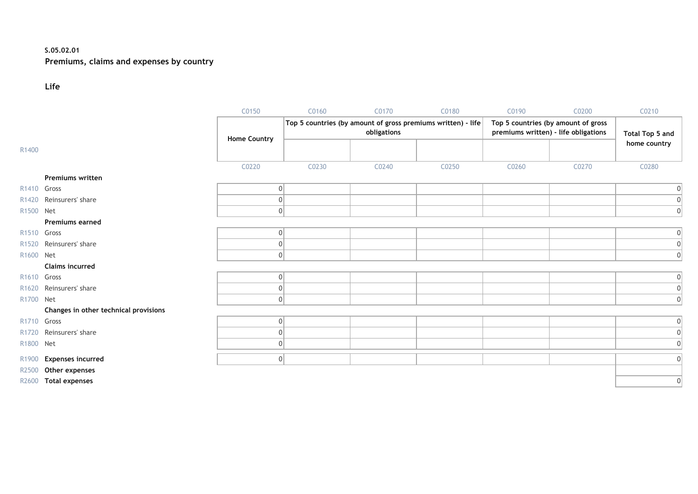### **S.05.02.01 Premiums, claims and expenses by country**

#### **Life**

|                         |                                       | C0150               | C0160                                               | C0170 | C0180                                                        | C0190                               | C0200 | C0210           |
|-------------------------|---------------------------------------|---------------------|-----------------------------------------------------|-------|--------------------------------------------------------------|-------------------------------------|-------|-----------------|
|                         |                                       |                     |                                                     |       | Top 5 countries (by amount of gross premiums written) - life | Top 5 countries (by amount of gross |       |                 |
|                         |                                       | <b>Home Country</b> | obligations<br>premiums written) - life obligations |       |                                                              |                                     |       | Total Top 5 and |
| R1400                   |                                       |                     |                                                     |       |                                                              |                                     |       | home country    |
|                         |                                       | C0220               |                                                     |       |                                                              |                                     |       |                 |
|                         | Premiums written                      |                     | C0230                                               | C0240 | C0250                                                        | C0260                               | C0270 | C0280           |
| R1410 Gross             |                                       | 0                   |                                                     |       |                                                              |                                     |       | $\vert 0 \vert$ |
| R1420                   | Reinsurers' share                     | O                   |                                                     |       |                                                              |                                     |       | 0               |
| R <sub>1500</sub>       | <b>Net</b>                            | 0                   |                                                     |       |                                                              |                                     |       |                 |
|                         |                                       |                     |                                                     |       |                                                              |                                     |       | 0               |
|                         | <b>Premiums earned</b>                |                     |                                                     |       |                                                              |                                     |       |                 |
| R1510 Gross             |                                       | 0                   |                                                     |       |                                                              |                                     |       | 0               |
| R <sub>1520</sub>       | Reinsurers' share                     | 0                   |                                                     |       |                                                              |                                     |       | 0               |
| R1600 Net               |                                       | 0                   |                                                     |       |                                                              |                                     |       | $\overline{0}$  |
|                         | <b>Claims incurred</b>                |                     |                                                     |       |                                                              |                                     |       |                 |
| R <sub>1610</sub> Gross |                                       | 0                   |                                                     |       |                                                              |                                     |       | 0               |
| R <sub>1620</sub>       | Reinsurers' share                     | 0                   |                                                     |       |                                                              |                                     |       | 0               |
| R1700 Net               |                                       | 0                   |                                                     |       |                                                              |                                     |       | $\Omega$        |
|                         | Changes in other technical provisions |                     |                                                     |       |                                                              |                                     |       |                 |
| R1710 Gross             |                                       | 0                   |                                                     |       |                                                              |                                     |       | 0               |
| R <sub>1720</sub>       | Reinsurers' share                     | 0                   |                                                     |       |                                                              |                                     |       | 0               |
| R1800 Net               |                                       | 0                   |                                                     |       |                                                              |                                     |       | $\overline{0}$  |
| R1900                   | <b>Expenses incurred</b>              | 0                   |                                                     |       |                                                              |                                     |       | 0               |
| R2500                   | Other expenses                        |                     |                                                     |       |                                                              |                                     |       |                 |
|                         | R2600 Total expenses                  |                     |                                                     |       |                                                              |                                     |       | 0               |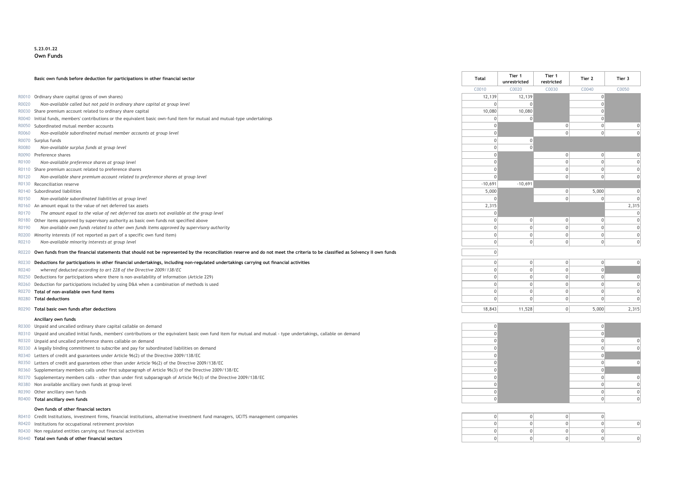#### **S.23.01.22 Own Funds**

|       | Basic own funds before deduction for participations in other financial sector                                                                                               | <b>Total</b> | Tier 1<br>unrestricted | Tier 1<br>restricted | Tier 2      | Tier 3   |
|-------|-----------------------------------------------------------------------------------------------------------------------------------------------------------------------------|--------------|------------------------|----------------------|-------------|----------|
|       |                                                                                                                                                                             | C0010        | C0020                  | C0030                | C0040       | C0050    |
|       | R0010 Ordinary share capital (gross of own shares)                                                                                                                          | 12,139       | 12,139                 |                      |             |          |
| R0020 | Non-available called but not paid in ordinary share capital at group level                                                                                                  | $\Omega$     |                        |                      |             |          |
|       | R0030 Share premium account related to ordinary share capital                                                                                                               | 10,080       | 10,080                 |                      |             |          |
|       | R0040 Initial funds, members' contributions or the equivalent basic own-fund item for mutual and mutual-type undertakings                                                   |              |                        |                      | $\Omega$    |          |
|       | R0050 Subordinated mutual member accounts                                                                                                                                   |              |                        |                      | $\Omega$    |          |
| R0060 | Non-available subordinated mutual member accounts at group level                                                                                                            |              |                        |                      | 0           |          |
|       | R0070 Surplus funds                                                                                                                                                         |              |                        |                      |             |          |
| R0080 | Non-available surplus funds at group level                                                                                                                                  |              |                        |                      |             |          |
|       | R0090 Preference shares                                                                                                                                                     |              |                        | $\Omega$             | $\mathbf 0$ |          |
| R0100 | Non-available preference shares at group level                                                                                                                              |              |                        |                      | $\Omega$    |          |
|       | R0110 Share premium account related to preference shares                                                                                                                    |              |                        |                      | $\Omega$    |          |
| R0120 | Non-available share premium account related to preference shares at group level                                                                                             |              |                        |                      | $\Omega$    |          |
| R0130 | Reconciliation reserve                                                                                                                                                      | $-10,691$    | $-10,691$              |                      |             |          |
|       | R0140 Subordinated liabilities                                                                                                                                              | 5,000        |                        |                      | 5,000       | $\Omega$ |
| R0150 | Non-available subordinated liabilities at group level                                                                                                                       |              |                        |                      | $\Omega$    |          |
|       | R0160 An amount equal to the value of net deferred tax assets                                                                                                               | 2,315        |                        |                      |             | 2,315    |
| R0170 | The amount equal to the value of net deferred tax assets not available at the group level                                                                                   |              |                        |                      |             |          |
|       | R0180 Other items approved by supervisory authority as basic own funds not specified above                                                                                  |              | $\Omega$               | $\Omega$             | $\Omega$    | $\Omega$ |
| R0190 | Non available own funds related to other own funds items approved by supervisory authority                                                                                  |              |                        |                      | $\Omega$    |          |
| R0200 | Minority interests (if not reported as part of a specific own fund item)                                                                                                    | $\Omega$     |                        |                      | $\Omega$    | $\Omega$ |
| R0210 | Non-available minority interests at group level                                                                                                                             | $\Omega$     |                        |                      | $\Omega$    |          |
| R0220 | Own funds from the financial statements that should not be represented by the reconciliation reserve and do not meet the criteria to be classified as Solvency II own funds | $\Omega$     |                        |                      |             |          |
| R0230 | Deductions for participations in other financial undertakings, including non-regulated undertakings carrying out financial activities                                       | $\Omega$     |                        |                      | $\Omega$    |          |
| R0240 | whereof deducted according to art 228 of the Directive 2009/138/EC                                                                                                          | $\Omega$     | $\Omega$               | $\Omega$             | $\Omega$    |          |
| R0250 | Deductions for participations where there is non-availability of information (Article 229)                                                                                  |              |                        |                      | $\Omega$    | $\Omega$ |
|       | R0260 Deduction for participations included by using D&A when a combination of methods is used                                                                              |              |                        |                      | $\Omega$    |          |
|       | R0270 Total of non-available own fund items                                                                                                                                 |              |                        |                      | $\Omega$    | $\Omega$ |
|       | R0280 Total deductions                                                                                                                                                      |              |                        |                      | $\Omega$    |          |
|       | R0290 Total basic own funds after deductions                                                                                                                                | 18,843       | 11,528                 | $\Omega$             | 5,000       | 2,315    |
|       | Ancillary own funds                                                                                                                                                         |              |                        |                      |             |          |

- R0300 Unpaid and uncalled ordinary share capital callable on demand and and only a property of the capital callable on demand on the capital callable on demand on the capital callable on demand on the capital callable on d
- R0310 Unpaid and uncalled initial funds, members' contributions or the equivalent basic own fund item for mutual and mutual type undertakings, callable on demand 0 0
- R0320 Unpaid and uncalled preference shares callable on demand 0 0 0
- 
- R0340 Letters of credit and guarantees under Article 96(2) of the Directive 2009/138/EC 0 0
- 
- R0360 Supplementary members calls under first subparagraph of Article 96(3) of the Directive 2009/138/EC 0 0
- R0370 Supplementary members calls other than under first subparagraph of Article 96(3) of the Directive 2009/138/EC 0 0 0
- 
- 
- 

#### **Own funds of other financial sectors**

- R0410 Credit Institutions, investment firms, financial institutions, alternative investment fund managers, UCITS management companies
- R0420 Institutions for occupational retirement provision
- R0430 Non regulated entities carrying out financial activities
- R0440 **Total own funds of other financial sectors**

R0330 A legally binding commitment to subscribe and pay for subordinated liabilities on demand 0 0 0 R0350 Letters of credit and guarantees other than under Article 96(2) of the Directive 2009/138/EC 0 0 0 R0380 Non available ancillary own funds at group level 0 0 0 R0390 Other ancillary own funds 0 0 0 R0400 **Total ancillary own funds** 0 0 0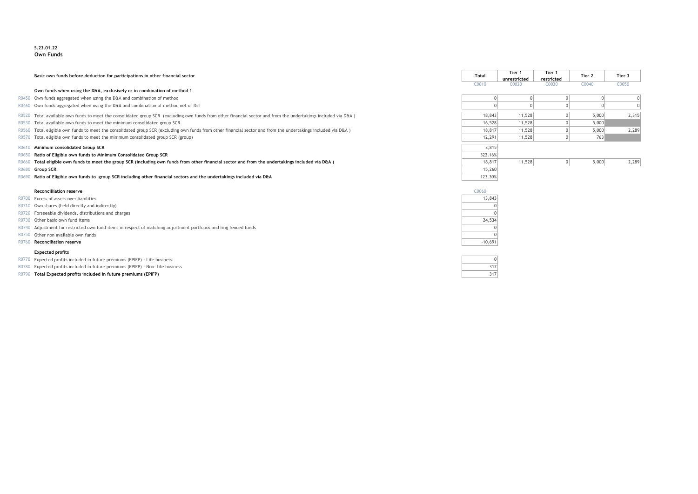#### **S.23.01.22 Own Funds**

Basic own funds before deduction for participations in other financial sector

#### **Own funds when using the D&A, exclusively or in combination of method 1**

- R0450 Own funds aggregated when using the D&A and combination of method
- R0460 Own funds aggregated when using the D&A and combination of method net of IGT
- R0520 Total available own funds to meet the consolidated group SCR (excluding own funds from other financial sector and from the undertakings included via D&A)
- R0530 Total available own funds to meet the minimum consolidated group SCR
- R0560 Total eligible own funds to meet the consolidated group SCR (excluding own funds from other financial sector and from the undertakings included via D&A )
- R0570 Total eligible own funds to meet the minimum consolidated group SCR (group)

#### R0610 Minimum consolidated Group SCR

- **R0650 Ratio of Eligible own funds to Minimum Consolidated Group SCR**
- R0660 Total eligible own funds to meet the group SCR (including own funds from other financial sector and from the undertakings included via D&A) R0680 **Group SCR** 15,260
- R0690 **Ratio of Eligible own funds to group SCR including other financial sectors and the undertakings included via D&A** 123.30%

#### **Reconcilliation reserve** C0060

- R0700 Excess of assets over liabilities
- R0710 Own shares (held directly and indirectly)
- R0720 Forseeable dividends, distributions and charges
- R0730 Other basic own fund items
- R0740 Adjustment for restricted own fund items in respect of matching adjustment portfolios and ring fenced funds
- R0750 Other non available own funds
- **R0760 Reconciliation reserve**

#### **Expected profits**

- R0770 Expected profits included in future premiums (EPIFP) Life business
- R0780 Expected profits included in future premiums (EPIFP) Non- life business
- R0790 **Total Expected profits included in future premiums (EPIFP)**

| <b>Total</b> | Tier 1       | Tier 1      | Tier 2   | Tier 3      |
|--------------|--------------|-------------|----------|-------------|
|              | unrestricted | restricted  |          |             |
| C0010        | C0020        | C0030       | C0040    | C0050       |
| $\mathbf{0}$ | $\mathbf{0}$ | $\mathbf 0$ | $\Omega$ | 0           |
| 0            | $\Omega$     | $\Omega$    | 0        | $\mathbf 0$ |
| 18,843       | 11,528       | 0           | 5,000    | 2,315       |
| 16,528       | 11,528       | $\mathbf 0$ | 5,000    |             |
| 18,817       | 11,528       | $\mathbf 0$ | 5,000    | 2,289       |
| 12,291       | 11,528       | $\mathbf 0$ | 763      |             |
| 3,815        |              |             |          |             |
| 322.16%      |              |             |          |             |
| 18,817       | 11,528       | $\mathbf 0$ | 5,000    | 2,289       |
| 15,260       |              |             |          |             |
|              |              |             |          |             |

| C0060 |           |  |  |  |  |  |  |
|-------|-----------|--|--|--|--|--|--|
|       | 13,843    |  |  |  |  |  |  |
|       | Π         |  |  |  |  |  |  |
|       | Π         |  |  |  |  |  |  |
|       | 24,534    |  |  |  |  |  |  |
|       | Π         |  |  |  |  |  |  |
|       | ı         |  |  |  |  |  |  |
|       | $-10,691$ |  |  |  |  |  |  |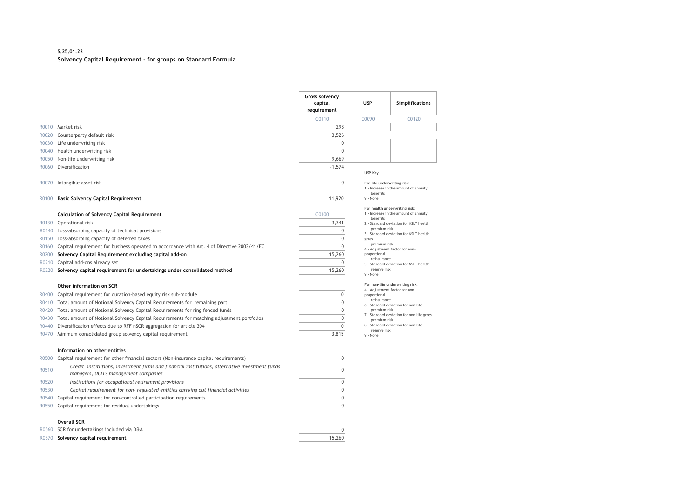#### **S.25.01.22 Solvency Capital Requirement - for groups on Standard Formula**

|                                                    |                                                                                                                                                                                                                                                                                                                                                               | Gross solvency<br>capital<br>requirement     | <b>USP</b>                                                                                                                                          | <b>Simplifications</b>                                                                                                                                              |
|----------------------------------------------------|---------------------------------------------------------------------------------------------------------------------------------------------------------------------------------------------------------------------------------------------------------------------------------------------------------------------------------------------------------------|----------------------------------------------|-----------------------------------------------------------------------------------------------------------------------------------------------------|---------------------------------------------------------------------------------------------------------------------------------------------------------------------|
|                                                    |                                                                                                                                                                                                                                                                                                                                                               | C0110                                        | C0090                                                                                                                                               | C0120                                                                                                                                                               |
| R0010                                              | Market risk                                                                                                                                                                                                                                                                                                                                                   | 298                                          |                                                                                                                                                     |                                                                                                                                                                     |
| R0020                                              | Counterparty default risk                                                                                                                                                                                                                                                                                                                                     | 3,526                                        |                                                                                                                                                     |                                                                                                                                                                     |
| R0030                                              | Life underwriting risk                                                                                                                                                                                                                                                                                                                                        | 0                                            |                                                                                                                                                     |                                                                                                                                                                     |
| R0040                                              | Health underwriting risk                                                                                                                                                                                                                                                                                                                                      | $\overline{0}$                               |                                                                                                                                                     |                                                                                                                                                                     |
| R0050                                              | Non-life underwriting risk                                                                                                                                                                                                                                                                                                                                    | 9,669                                        |                                                                                                                                                     |                                                                                                                                                                     |
| R0060                                              | Diversification                                                                                                                                                                                                                                                                                                                                               | $-1,574$                                     |                                                                                                                                                     |                                                                                                                                                                     |
|                                                    |                                                                                                                                                                                                                                                                                                                                                               |                                              | <b>USP Kev</b>                                                                                                                                      |                                                                                                                                                                     |
| R0070                                              | Intangible asset risk                                                                                                                                                                                                                                                                                                                                         | 0                                            | For life underwriting risk:                                                                                                                         |                                                                                                                                                                     |
|                                                    |                                                                                                                                                                                                                                                                                                                                                               |                                              | benefits                                                                                                                                            | 1 - Increase in the amount of annuity                                                                                                                               |
| R0100                                              | <b>Basic Solvency Capital Requirement</b>                                                                                                                                                                                                                                                                                                                     | 11,920                                       | 9 - None                                                                                                                                            |                                                                                                                                                                     |
| R0130<br>R0140<br>R0150<br>R0160<br>R0200<br>R0210 | <b>Calculation of Solvency Capital Requirement</b><br>Operational risk<br>Loss-absorbing capacity of technical provisions<br>Loss-absorbing capacity of deferred taxes<br>Capital requirement for business operated in accordance with Art. 4 of Directive 2003/41/EC<br>Solvency Capital Requirement excluding capital add-on<br>Capital add-ons already set | C0100<br>3,341<br>0<br>0<br>U<br>15,260<br>O | For health underwriting risk;<br>henefits<br>premium risk<br>gross<br>premium risk<br>4 - Adjustment factor for non-<br>proportional<br>reinsurance | 1 - Increase in the amount of annuity<br>2 - Standard deviation for NSLT health<br>3 - Standard deviation for NSLT health<br>5 - Standard deviation for NSLT health |
| R0220                                              | Solvency capital requirement for undertakings under consolidated method                                                                                                                                                                                                                                                                                       | 15,260                                       | reserve risk                                                                                                                                        |                                                                                                                                                                     |
|                                                    | Other information on SCR                                                                                                                                                                                                                                                                                                                                      |                                              | 9 - None<br>4 - Adjustment factor for non-                                                                                                          | For non-life underwriting risk:                                                                                                                                     |
| R0400                                              | Capital requirement for duration-based equity risk sub-module                                                                                                                                                                                                                                                                                                 | 0                                            | proportional<br>reinsurance                                                                                                                         |                                                                                                                                                                     |
| R0410                                              | Total amount of Notional Solvency Capital Requirements for remaining part                                                                                                                                                                                                                                                                                     | 0                                            |                                                                                                                                                     | 6 - Standard deviation for non-life                                                                                                                                 |
| R0420                                              | Total amount of Notional Solvency Capital Requirements for ring fenced funds                                                                                                                                                                                                                                                                                  | 0                                            | premium risk                                                                                                                                        | 7 - Standard deviation for non-life gross                                                                                                                           |
| R0430                                              | Total amount of Notional Solvency Capital Requirements for matching adjustment portfolios                                                                                                                                                                                                                                                                     | 0                                            | premium risk                                                                                                                                        |                                                                                                                                                                     |
| R0440                                              | Diversification effects due to RFF nSCR aggregation for article 304                                                                                                                                                                                                                                                                                           | $\Omega$                                     | reserve risk                                                                                                                                        | 8 - Standard deviation for non-life                                                                                                                                 |
| R0470                                              | Minimum consolidated group solvency capital requirement                                                                                                                                                                                                                                                                                                       | 3,815                                        | 9 - None                                                                                                                                            |                                                                                                                                                                     |

#### **Information on other entities**

| R0500 Capital requirement for other financial sectors (Non-insurance capital requirements) |  |
|--------------------------------------------------------------------------------------------|--|
|--------------------------------------------------------------------------------------------|--|

- R0510 *Credit institutions, investment firms and financial institutions, alternative investment funds*   $m$ anagers, UCITS management companies
- R0520 *Institutions for occupational retirement provisions* 0
- R0530 *Capital requirement for non- regulated entities carrying out financial activities* 0
- R0540 Capital requirement for non-controlled participation requirements
- R0550 Capital requirement for residual undertakings 0

#### **Overall SCR**

- R0560 SCR for undertakings included via D&A 0
- R0570 **Solvency capital requirement** 15,260

| $\mathbf 0$    |
|----------------|
| 0              |
| $\overline{0}$ |
| $\overline{0}$ |
| $\overline{0}$ |
|                |

| For health underwriting risk:          |
|----------------------------------------|
| 1 - Increase in the amount of annuity  |
| benefits                               |
| 2 - Standard deviation for NSLT health |

- 
- tor for non-
- .<br>Thealth ion for NSLT health

#### **For non-life underwriting risk:**

- 4 Adjustment factor for non-
- 
- ion for non-life
- ion for non-life gross
- ion for non-life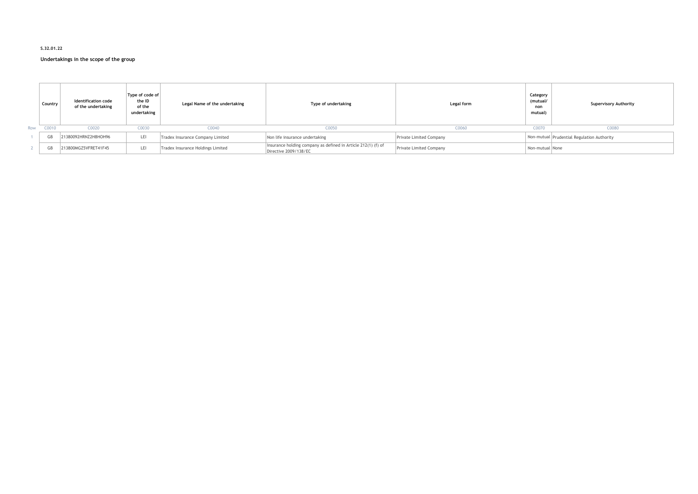#### **S.32.01.22**

#### **Undertakings in the scope of the group**

|     | Country | <b>Identification code</b><br>of the undertaking | Type of code of<br>the ID<br>of the<br>undertaking | Legal Name of the undertaking     | Type of undertaking                                                                    | Category<br>(mutual/<br>Legal form<br>non<br>mutual) |                 | <b>Supervisory Authority</b>               |  |
|-----|---------|--------------------------------------------------|----------------------------------------------------|-----------------------------------|----------------------------------------------------------------------------------------|------------------------------------------------------|-----------------|--------------------------------------------|--|
| Row | C0010   | C0020                                            | C0030                                              | C0040                             | C0050                                                                                  | C0060                                                | C0070           | C0080                                      |  |
|     |         | 21380092HRNZ2H8HOH96                             | LEI                                                | Tradex Insurance Company Limited  | Non life insurance undertaking                                                         | Private Limited Company                              |                 | Non-mutual Prudential Regulation Authority |  |
|     |         | 213800MGZ5VFRET41F45                             | LEI                                                | Tradex Insurance Holdings Limited | Insurance holding company as defined in Article 212(1) (f) of<br>Directive 2009/138/EC | Private Limited Company                              | Non-mutual None |                                            |  |